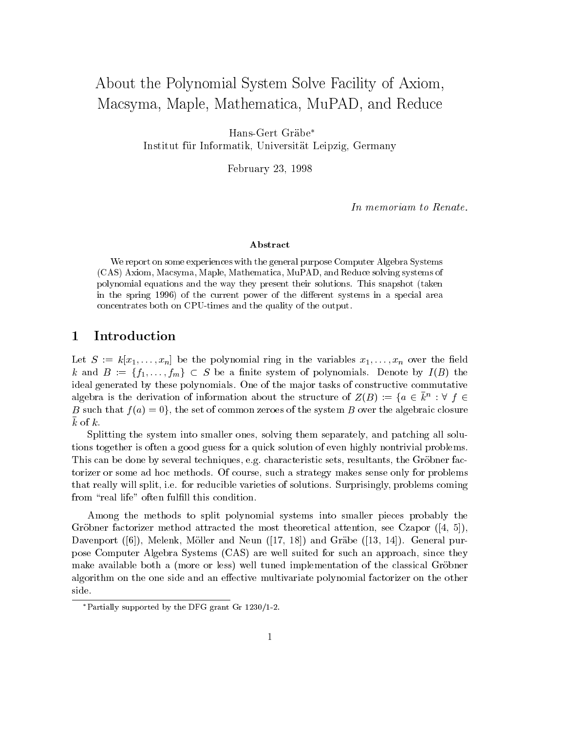# About the Polynomial System Solve Facility of Axiom, Macsyma, Maple, Mathematica, MuPAD, and Reduce

Hans-Gert Grabe Institut fur Informatik, Universitat Leipzig, Germany

February 23, 1998

In memoriam to Renate.

#### Abstract

We report on some experiences with the general purpose Computer Algebra Systems (CAS) Axiom, Macsyma, Maple, Mathematica, MuPAD, and Reduce solving systems of polynomial equations and the way they present their solutions. This snapshot (taken in the spring 1996) of the current power of the different systems in a special area concentrates both on CPU-times and the quality of the output.

### 1 Introduction

Let  $S := k[x_1, \ldots, x_n]$  be the polynomial ring in the variables  $x_1, \ldots, x_n$  over the field k and  $B := \{f_1, \ldots, f_m\} \subset S$  be a finite system of polynomials. Denote by  $I(B)$  the ideal generated by these polynomials. One of the major tasks of constructive commutative algebra is the derivation of information about the structure of  $Z(B) := \{a \in k^n : \forall \ f \in$ B such that  $f(a)=0$ , the set of common zeroes of the system B over the algebraic closure  $k$  of  $k$ .

Splitting the system into smaller ones, solving them separately, and patching all solutions together is often a good guess for a quick solution of even highly nontrivial problems. This can be done by several techniques, e.g. characteristic sets, resultants, the Grobner factorizer or some ad hoc methods. Of course, such a strategy makes sense only for problems that really will split, i.e. for reducible varieties of solutions. Surprisingly, problems coming from "real life" often fulfill this condition.

Among the methods to split polynomial systems into smaller pieces probably the Gröbner factorizer method attracted the most theoretical attention, see Czapor  $([4, 5])$ , Davenport ([6]), Melenk, Möller and Neun ([17, 18]) and Gräbe ([13, 14]). General purpose Computer Algebra Systems (CAS) are well suited for such an approach, since they make available both a (more or less) well tuned implementation of the classical Gröbner algorithm on the one side and an effective multivariate polynomial factorizer on the other side.

Partially supported by the DFG grant Gr 1230/1-2.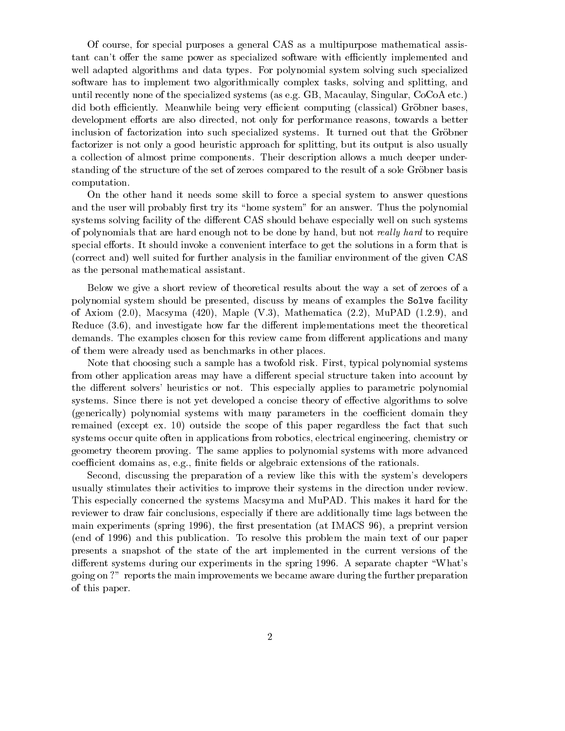Of course, for special purposes a general CAS as a multipurpose mathematical assistant can't offer the same power as specialized software with efficiently implemented and well adapted algorithms and data types. For polynomial system solving such specialized software has to implement two algorithmically complex tasks, solving and splitting, and until recently none of the specialized systems (as e.g. GB, Macaulay, Singular, CoCoA etc.) did both efficiently. Meanwhile being very efficient computing (classical) Gröbner bases, development efforts are also directed, not only for performance reasons, towards a better inclusion of factorization into such specialized systems. It turned out that the Gröbner factorizer is not only a good heuristic approach for splitting, but its output is also usually a collection of almost prime components. Their description allows a much deeper understanding of the structure of the set of zeroes compared to the result of a sole Gröbner basis computation.

On the other hand it needs some skill to force a special system to answer questions and the user will probably first try its "home system" for an answer. Thus the polynomial systems solving facility of the different CAS should behave especially well on such systems of polynomials that are hard enough not to be done by hand, but not really hard to require special efforts. It should invoke a convenient interface to get the solutions in a form that is (correct and) well suited for further analysis in the familiar environment of the given CAS as the personal mathematical assistant.

Below we give a short review of theoretical results about the way a set of zeroes of a polynomial system should be presented, discuss by means of examples the Solve facility of Axiom  $(2.0)$ , Macsyma  $(420)$ , Maple  $(V.3)$ , Mathematica  $(2.2)$ , MuPAD  $(1.2.9)$ , and Reduce  $(3.6)$ , and investigate how far the different implementations meet the theoretical demands. The examples chosen for this review came from different applications and many of them were already used as benchmarks in other places.

Note that choosing such a sample has a twofold risk. First, typical polynomial systems from other application areas may have a different special structure taken into account by the different solvers' heuristics or not. This especially applies to parametric polynomial systems. Since there is not yet developed a concise theory of effective algorithms to solve (generically) polynomial systems with many parameters in the coefficient domain they remained (except ex. 10) outside the scope of this paper regardless the fact that such systems occur quite often in applications from robotics, electrical engineering, chemistry or geometry theorem proving. The same applies to polynomial systems with more advanced coefficient domains as, e.g., finite fields or algebraic extensions of the rationals.

Second, discussing the preparation of a review like this with the system's developers usually stimulates their activities to improve their systems in the direction under review. This especially concerned the systems Macsyma and MuPAD. This makes it hard for the reviewer to draw fair conclusions, especially if there are additionally time lags between the main experiments (spring 1996), the first presentation (at IMACS  $96$ ), a preprint version (end of 1996) and this publication. To resolve this problem the main text of our paper presents a snapshot of the state of the art implemented in the current versions of the different systems during our experiments in the spring 1996. A separate chapter "What's going on ?" reports the main improvements we became aware during the further preparation of this paper.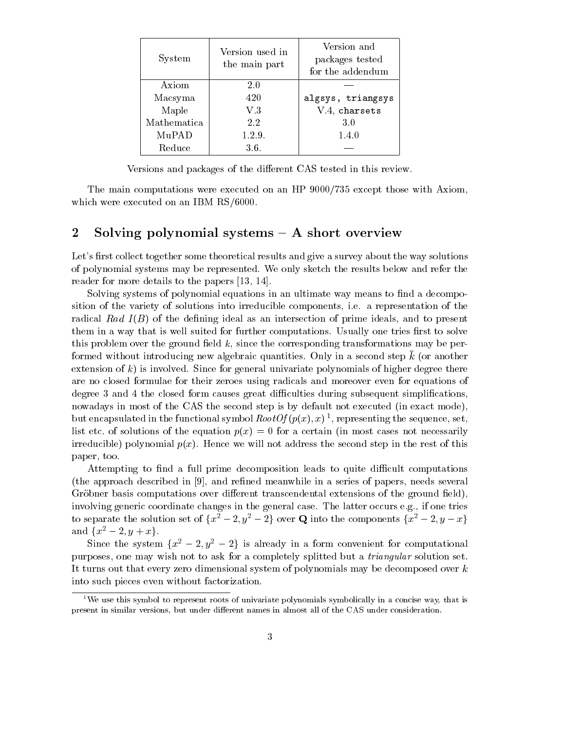| System      | Version used in<br>the main part | Version and<br>packages tested<br>for the addendum |
|-------------|----------------------------------|----------------------------------------------------|
| Axiom       | 2.0                              |                                                    |
| Macsyma     | 420                              | algsys, triangsys                                  |
| Maple       | V.3                              | V.4, charsets                                      |
| Mathematica | 2.2                              | 3.0                                                |
| MuPAD       | 1.2.9.                           | 1.4.0                                              |
| Reduce      | 3.6.                             |                                                    |

Versions and packages of the different CAS tested in this review.

The main computations were executed on an HP 9000/735 except those with Axiom, which were executed on an IBM RS/6000.

### 2 Solving polynomial systems  $-$  A short overview

Let's first collect together some theoretical results and give a survey about the way solutions of polynomial systems may be represented. We only sketch the results below and refer the reader for more details to the papers [13, 14].

Solving systems of polynomial equations in an ultimate way means to find a decomposition of the variety of solutions into irreducible components, i.e. a representation of the radical Rad  $I(B)$  of the defining ideal as an intersection of prime ideals, and to present them in a way that is well suited for further computations. Usually one tries first to solve this problem over the ground field  $k$ , since the corresponding transformations may be performed without introducing new algebraic quantities. Only in a second step  $\bar{k}$  (or another extension of  $k$ ) is involved. Since for general univariate polynomials of higher degree there are no closed formulae for their zeroes using radicals and moreover even for equations of degree 3 and 4 the closed form causes great difficulties during subsequent simplifications. nowadays in most of the CAS the second step is by default not executed (in exact mode), but encapsulated in the functional symbol  $RootO$  ( $p(x)$ ,  $x)$  ), representing the sequence, set, list etc. of solutions of the equation  $p(x) = 0$  for a certain (in most cases not necessarily irreducible) polynomial  $p(x)$ . Hence we will not address the second step in the rest of this paper, too.

Attempting to find a full prime decomposition leads to quite difficult computations (the approach described in [9], and refined meanwhile in a series of papers, needs several Gröbner basis computations over different transcendental extensions of the ground field), involving generic coordinate changes in the general case. The latter occurs e.g., if one tries to separate the solution set of  $\{x^2 - 2, y^2 - 2\}$  over Q into the components  $\{\overline{x^2} - 2, y - x\}$ and  $\{x^2 - 2, y + x\}.$ 

Since the system  $\{x^2 - 2, y^2 - 2\}$  is already in a form convenient for computational purposes, one may wish not to ask for a completely splitted but a triangular solution set. It turns out that every zero dimensional system of polynomials may be decomposed over  $k$ into such pieces even without factorization.

<sup>1</sup>We use this symbol to represent roots of univariate polynomials symbolically in a concise way, that is present in similar versions, but under different names in almost all of the CAS under consideration.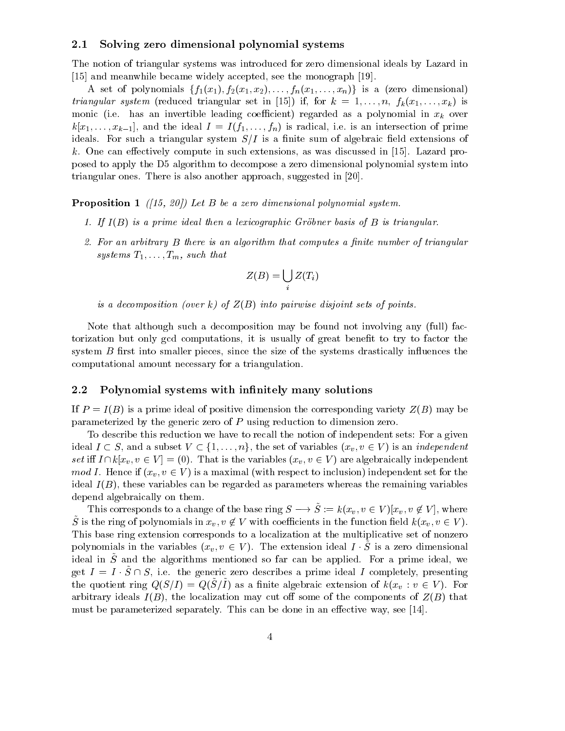#### 2.1 Solving zero dimensional polynomial systems

The notion of triangular systems was introduced for zero dimensional ideals by Lazard in [15] and meanwhile became widely accepted, see the monograph [19].

A set of polynomials  $\{f_1(x_1), f_2(x_1, x_2), \ldots, f_n(x_1, \ldots, x_n)\}\$ is a (zero dimensional) *triangular system* (reduced triangular set in [15]) if, for  $k = 1, \ldots, n$ ,  $f_k(x_1, \ldots, x_k)$  is monic (i.e. has an invertible leading coefficient) regarded as a polynomial in  $x_k$  over  $k[x_1,\ldots,x_{k-1}]$ , and the ideal  $I = I(f_1,\ldots,f_n)$  is radical, i.e. is an intersection of prime ideals. For such a triangular system  $S/I$  is a finite sum of algebraic field extensions of k. One can effectively compute in such extensions, as was discussed in  $[15]$ . Lazard proposed to apply the D5 algorithm to decompose a zero dimensional polynomial system into triangular ones. There is also another approach, suggested in [20].

**Proposition 1** ([15, 20]) Let B be a zero dimensional polynomial system.

- 1. If  $I(B)$  is a prime ideal then a lexicographic Gröbner basis of B is triangular.
- 2. For an arbitrary  $B$  there is an algorithm that computes a finite number of triangular systems  $T_1,\ldots,T_m$ , such that

$$
Z(B) = \bigcup_i Z(T_i)
$$

is a decomposition (over k) of  $Z(B)$  into pairwise disjoint sets of points.

Note that although such a decomposition may be found not involving any (full) factorization but only gcd computations, it is usually of great benet to try to factor the system  $B$  first into smaller pieces, since the size of the systems drastically influences the computational amount necessary for a triangulation.

#### 2.2 Polynomial systems with infinitely many solutions

If  $P = I(B)$  is a prime ideal of positive dimension the corresponding variety  $Z(B)$  may be parameterized by the generic zero of P using reduction to dimension zero.

To describe this reduction we have to recall the notion of independent sets: For a given ideal  $I \subset S$ , and a subset  $V \subset \{1,\ldots,n\}$ , the set of variables  $(x_v, v \in V)$  is an *independent* set iff  $I \cap k[x_v, v \in V] = (0)$ . That is the variables  $(x_v, v \in V)$  are algebraically independent mod I. Hence if  $(x_v, v \in V)$  is a maximal (with respect to inclusion) independent set for the ideal  $I(B)$ , these variables can be regarded as parameters whereas the remaining variables depend algebraically on them.

This corresponds to a change of the base ring  $S \longrightarrow S := k(x_v, v \in V)[x_v, v \notin V]$ , where S is the ring of polynomials in  $x_v, v \notin V$  with coefficients in the function field  $k(x_v, v \in V)$ . This base ring extension corresponds to a localization at the multiplicative set of nonzero polynomials in the variables  $(x_v, v \in V)$ . The extension ideal  $I \cdot S$  is a zero dimensional ideal in  $\beta$  and the algorithms including so far can be applied. For a prime ideal, we get  $I = I \cdot \tilde{S} \cap S$ , i.e. the generic zero describes a prime ideal I completely, presenting the quotient ring  $Q(S/I) = Q(S/I)$  as a finite algebraic extension of  $k(x_v : v \in V)$ . For arbitrary ideals  $I(B)$ , the localization may cut off some of the components of  $Z(B)$  that must be parameterized separately. This can be done in an effective way, see  $[14]$ .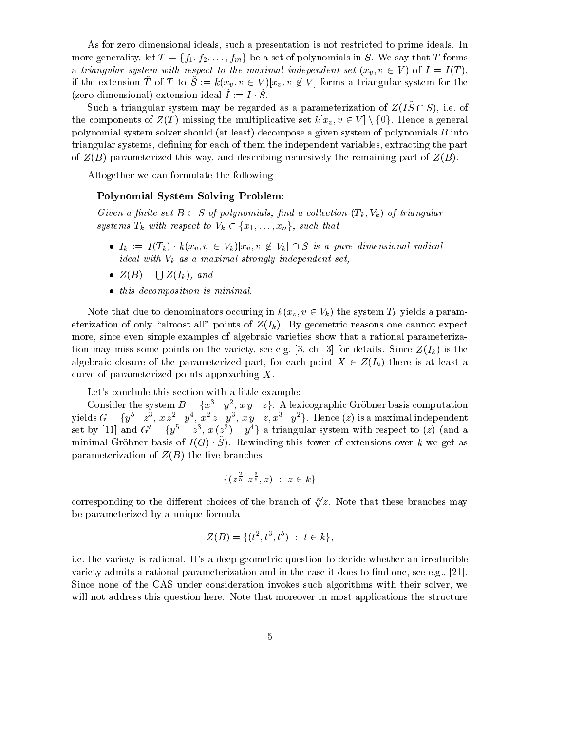As for zero dimensional ideals, such a presentation is not restricted to prime ideals. In more generality, let  $T = \{f_1, f_2, \ldots, f_m\}$  be a set of polynomials in S. We say that T forms a triangular system with respect to the maximal independent set  $(x_v, v \in V)$  of  $I = I(T)$ , if the extension T of T to  $S := k(x_v, v \in V)[x_v, v \notin V]$  forms a triangular system for the  $(z$ ero dimensional) extension ideal  $I := I \cdot S$ .

Such a triangular system may be regarded as a parameterization of  $Z(I\tilde{S}\cap S)$ , i.e. of the components of  $Z(T)$  missing the multiplicative set  $k[x_v, v \in V] \setminus \{0\}$ . Hence a general polynomial system solver should (at least) decompose a given system of polynomials B into triangular systems, defining for each of them the independent variables, extracting the part of  $Z(B)$  parameterized this way, and describing recursively the remaining part of  $Z(B)$ .

Altogether we can formulate the following

#### Polynomial System Solving Problem:

Given a finite set  $B \subset S$  of polynomials, find a collection  $(T_k, V_k)$  of triangular systems  $T_k$  with respect to  $V_k \subset \{x_1,\ldots,x_n\}$ , such that

- $\bullet$   $I_k := I(T_k) \cdot k(x_v, v \in V_k | x_v, v \notin V_k | \cap S$  is a pure dimensional radical ideal with  $V_k$  as a maximal strongly independent set,
- $Z(B) = \bigcup Z(I_k)$ , and
- $\bullet$  this decomposition is minimal.

Note that due to denominators occuring in  $k(x_v, v \in V_k)$  the system  $T_k$  yields a parameterization of only "almost all" points of  $Z(I_k)$ . By geometric reasons one cannot expect more, since even simple examples of algebraic varieties show that a rational parameterization may miss some points on the variety, see e.g. [3, ch. 3] for details. Since  $Z(I_k)$  is the algebraic closure of the parameterized part, for each point  $X \in Z(I_k)$  there is at least a curve of parameterized points approaching X.

Let's conclude this section with a little example:

Consider the system  $B = \{x^3-y^2, x\,y-z\}$ . A lexicographic Gröbner basis computation yields  $G = \{y^5\!-\!z^3,\ x\,z^2\!-\!y^4,\ x^2\,z\!-\!y^3,\ x\,y\!-\!z,x^3\!-\!y^2\}.$  Hence  $(z)$  is a maximal independent set by [11] and  $G' = \{y^5 - z^3, x(z^2) - y^4\}$  a triangular system with respect to (z) (and a  $\min$  and  $\min$  is ordered as  $\min$  (G)  $\cdot$   $\in$  ). The winding this tower of extensions over k we get as parameterization of  $Z(B)$  the five branches

$$
\{(z^{\frac{2}{5}},z^{\frac{3}{5}},z)\;:\;z\in \bar{k}\}
$$

corresponding to the different choices of the branch of  $\sqrt[5]{z}$ . Note that these branches may be parameterized by a unique formula

$$
Z(B)=\{(t^2,t^3,t^5)\;:\; t\in \bar k\},
$$

i.e. the variety is rational. It's a deep geometric question to decide whether an irreducible variety admits a rational parameterization and in the case it does to find one, see e.g.,  $[21]$ . Since none of the CAS under consideration invokes such algorithms with their solver, we will not address this question here. Note that moreover in most applications the structure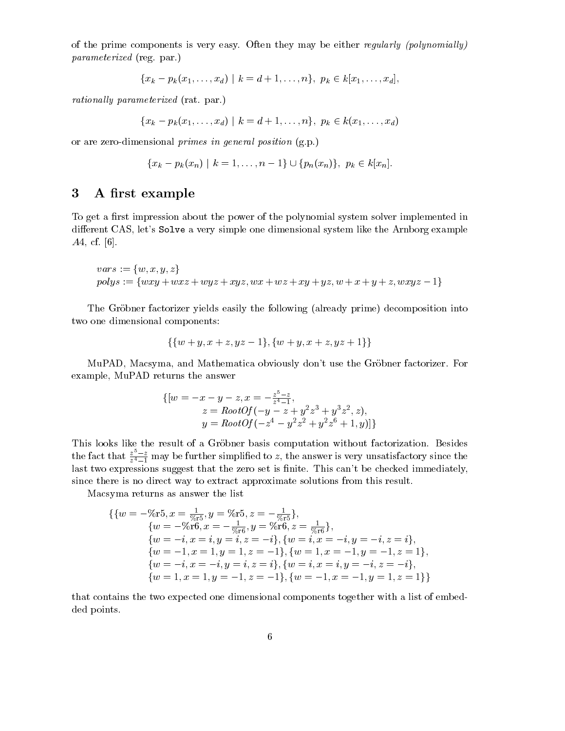of the prime components is very easy. Often they may be either regularly (polynomially) parameterized (reg. par.)

$$
\{x_k-p_k(x_1,\ldots,x_d) \mid k=d+1,\ldots,n\}, \ p_k \in k[x_1,\ldots,x_d],
$$

rationally parameterized (rat. par.)

$$
\{x_k - p_k(x_1, \ldots, x_d) \mid k = d + 1, \ldots, n\}, \ p_k \in k(x_1, \ldots, x_d)
$$

or are zero-dimensional primes in general position (g.p.)

$$
\{x_k - p_k(x_n) \mid k = 1, \ldots, n-1\} \cup \{p_n(x_n)\}, \ p_k \in k[x_n].
$$

## 3 A first example

To get a first impression about the power of the polynomial system solver implemented in different CAS, let's Solve a very simple one dimensional system like the Arnborg example A4, cf. [6].

$$
vars := \{w, x, y, z\}
$$
  
polys := {wxy + wxz + wyz + xyz, wx + wz + xy + yz, w + x + y + z, wxyz - 1}

The Gröbner factorizer yields easily the following (already prime) decomposition into two one dimensional components:

$$
\{\{w+y,x+z,yz-1\},\{w+y,x+z,yz+1\}\}
$$

MuPAD, Macsyma, and Mathematica obviously don't use the Gröbner factorizer. For example, MuPAD returns the answer

$$
\{ [w = -x - y - z, x = -\frac{z^5 - z}{z^4 - 1},z = RootOf(-y - z + y^2 z^3 + y^3 z^2, z),y = RootOf(-z^4 - y^2 z^2 + y^2 z^6 + 1, y) ] \}
$$

This looks like the result of a Gröbner basis computation without factorization. Besides the fact that  $\frac{z^2-z}{z^4-1}$  may be further simplified to z, the answer is very unsatisfactory since the last two expressions suggest that the zero set is finite. This can't be checked immediately, since there is no direct way to extract approximate solutions from this result.

Macsyma returns as answer the list

$$
\begin{aligned}\n\{\{w = -\% \text{r5}, x = \frac{1}{\% \text{r5}}, y = \% \text{r5}, z = -\frac{1}{\% \text{r5}}\}, \\
\{w = -\% \text{r6}, x = -\frac{1}{\% \text{r6}}, y = \% \text{r6}, z = \frac{1}{\% \text{r6}}\}, \\
\{w = -i, x = i, y = i, z = -i\}, \{w = i, x = -i, y = -i, z = i\}, \\
\{w = -1, x = 1, y = 1, z = -1\}, \{w = 1, x = -1, y = -1, z = 1\}, \\
\{w = -i, x = -i, y = i, z = i\}, \{w = i, x = i, y = -i, z = -i\}, \\
\{w = 1, x = 1, y = -1, z = -1\}, \{w = -1, x = -1, y = 1, z = 1\}\n\end{aligned}
$$

that contains the two expected one dimensional components together with a list of embedded points.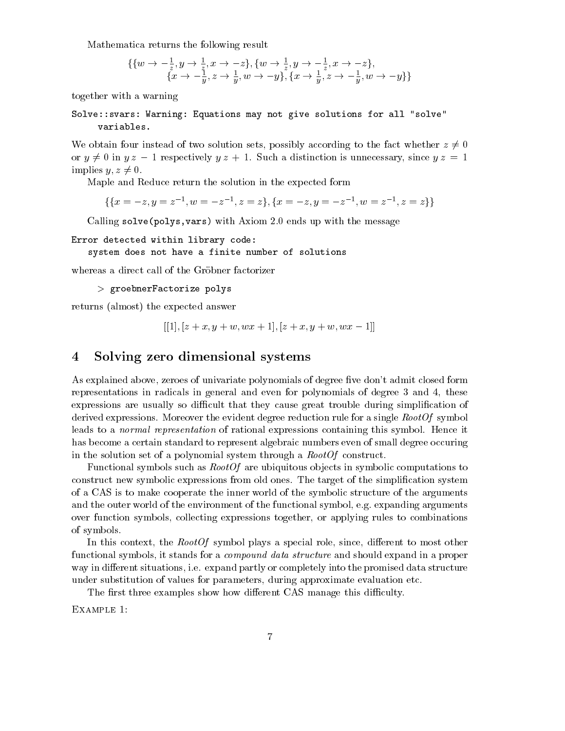Mathematica returns the following result

$$
\begin{array}{l}\n\{\{w \rightarrow -\frac{1}{z}, y \rightarrow \frac{1}{z}, x \rightarrow -z\}, \{w \rightarrow \frac{1}{z}, y \rightarrow -\frac{1}{z}, x \rightarrow -z\}, \\
\{x \rightarrow -\frac{1}{y}, z \rightarrow \frac{1}{y}, w \rightarrow -y\}, \{x \rightarrow \frac{1}{y}, z \rightarrow -\frac{1}{y}, w \rightarrow -y\}\n\}\n\end{array}
$$

together with a warning

Solve::svars: Warning: Equations may not give solutions for all "solve" variables.

We obtain four instead of two solution sets, possibly according to the fact whether  $z \neq 0$ or  $y \neq 0$  in  $yz - 1$  respectively  $yz + 1$ . Such a distinction is unnecessary, since  $yz = 1$ implies  $y, z \neq 0$ .

Maple and Reduce return the solution in the expected form

 $\{\{x=-z,y=z^{-1},w=-z^{-1},z=z\},\{x=-z,y=-z^{-1},w=z^{-1},z=z\}\}$ 

Calling solve(polys,vars) with Axiom 2.0 ends up with the message

Error detected within library code:

system does not have a finite number of solutions

whereas a direct call of the Gröbner factorizer

```
> groebnerFactorize polys
```
returns (almost) the expected answer

$$
[[1],[z+x,y+w,wx+1],[z+x,y+w,wx-1]]\\
$$

#### 4 Solving zero dimensional systems  $\overline{\mathbf{4}}$

As explained above, zeroes of univariate polynomials of degree five don't admit closed form representations in radicals in general and even for polynomials of degree 3 and 4, these expressions are usually so difficult that they cause great trouble during simplification of derived expressions. Moreover the evident degree reduction rule for a single RootOf symbol leads to a *normal representation* of rational expressions containing this symbol. Hence it has become a certain standard to represent algebraic numbers even of small degree occuring in the solution set of a polynomial system through a  $RootOf$  construct.

Functional symbols such as  $RootOf$  are ubiquitous objects in symbolic computations to construct new symbolic expressions from old ones. The target of the simplication system of a CAS is to make cooperate the inner world of the symbolic structure of the arguments and the outer world of the environment of the functional symbol, e.g. expanding arguments over function symbols, collecting expressions together, or applying rules to combinations of symbols.

In this context, the  $RootOf$  symbol plays a special role, since, different to most other functional symbols, it stands for a compound data structure and should expand in a proper way in different situations, i.e. expand partly or completely into the promised data structure under substitution of values for parameters, during approximate evaluation etc.

The first three examples show how different CAS manage this difficulty.

Example 1: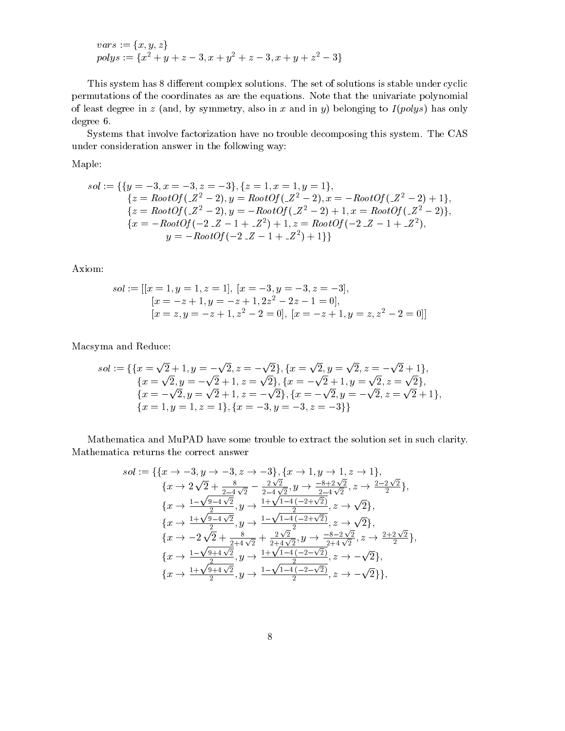$$
vars := \{x, y, z\}
$$
  
polys :=  $\{x^2 + y + z - 3, x + y^2 + z - 3, x + y + z^2 - 3\}$ 

This system has 8 different complex solutions. The set of solutions is stable under cyclic permutations of the coordinates as are the equations. Note that the univariate polynomial of least degree in z (and, by symmetry, also in x and in y) belonging to  $I(polys)$  has only degree 6.

Systems that involve factorization have no trouble decomposing this system. The CAS under consideration answer in the following way:

Maple:

$$
sol := \{ \{y = -3, x = -3, z = -3 \}, \{z = 1, x = 1, y = 1 \},
$$
  
\n
$$
\{z = RootOf(\_Z^2 - 2), y = RootOf(\_Z^2 - 2), x = -RootOf(\_Z^2 - 2) + 1 \},
$$
  
\n
$$
\{z = RootOf(\_Z^2 - 2), y = -RootOf(\_Z^2 - 2) + 1, x = RootOf(\_Z^2 - 2) \},
$$
  
\n
$$
\{x = -RootOf(-2 \_Z - 1 + \_Z^2) + 1, z = RootOf(-2 \_Z - 1 + \_Z^2),
$$
  
\n
$$
y = -RootOf(-2 \_Z - 1 + \_Z^2) + 1 \} \}
$$

Axiom:

$$
sol := [[x = 1, y = 1, z = 1], [x = -3, y = -3, z = -3],
$$
  
\n
$$
[x = -z + 1, y = -z + 1, 2z2 - 2z - 1 = 0],
$$
  
\n
$$
[x = z, y = -z + 1, z2 - 2 = 0], [x = -z + 1, y = z, z2 - 2 = 0]]
$$

Macsyma and Reduce:

$$
sol := \{ \{x = \sqrt{2} + 1, y = -\sqrt{2}, z = -\sqrt{2} \}, \{x = \sqrt{2}, y = \sqrt{2}, z = -\sqrt{2} + 1 \},
$$
  
\n
$$
\{x = \sqrt{2}, y = -\sqrt{2} + 1, z = \sqrt{2} \}, \{x = -\sqrt{2} + 1, y = \sqrt{2}, z = \sqrt{2} \},
$$
  
\n
$$
\{x = -\sqrt{2}, y = \sqrt{2} + 1, z = -\sqrt{2} \}, \{x = -\sqrt{2}, y = -\sqrt{2}, z = \sqrt{2} + 1 \},
$$
  
\n
$$
\{x = 1, y = 1, z = 1 \}, \{x = -3, y = -3, z = -3 \} \}
$$

Mathematica and MuPAD have some trouble to extract the solution set in such clarity. Mathematica returns the correct answer

$$
sol := \{ \{x \to -3, y \to -3, z \to -3 \}, \{x \to 1, y \to 1, z \to 1 \},
$$
  
\n
$$
\{x \to 2\sqrt{2} + \frac{8}{2-4\sqrt{2}} - \frac{2\sqrt{2}}{2-4\sqrt{2}}, y \to \frac{-8+2\sqrt{2}}{2-4\sqrt{2}}, z \to \frac{2-2\sqrt{2}}{2} \},
$$
  
\n
$$
\{x \to \frac{1-\sqrt{9-4\sqrt{2}}}{2}, y \to \frac{1+\sqrt{1-4(-2+\sqrt{2})}}{2}, z \to \sqrt{2} \},
$$
  
\n
$$
\{x \to \frac{1+\sqrt{9-4\sqrt{2}}}{2}, y \to \frac{1-\sqrt{1-4(-2+\sqrt{2})}}{2}, z \to \sqrt{2} \},
$$
  
\n
$$
\{x \to -2\sqrt{2} + \frac{8}{2+4\sqrt{2}} + \frac{2\sqrt{2}}{2+4\sqrt{2}}, y \to \frac{-8-2\sqrt{2}}{2+4\sqrt{2}}, z \to \frac{2+2\sqrt{2}}{2} \},
$$
  
\n
$$
\{x \to \frac{1-\sqrt{9+4\sqrt{2}}}{2}, y \to \frac{1+\sqrt{1-4(-2-\sqrt{2})}}{2}, z \to -\sqrt{2} \},
$$
  
\n
$$
\{x \to \frac{1+\sqrt{9+4\sqrt{2}}}{2}, y \to \frac{1-\sqrt{1-4(-2-\sqrt{2})}}{2}, z \to -\sqrt{2} \},
$$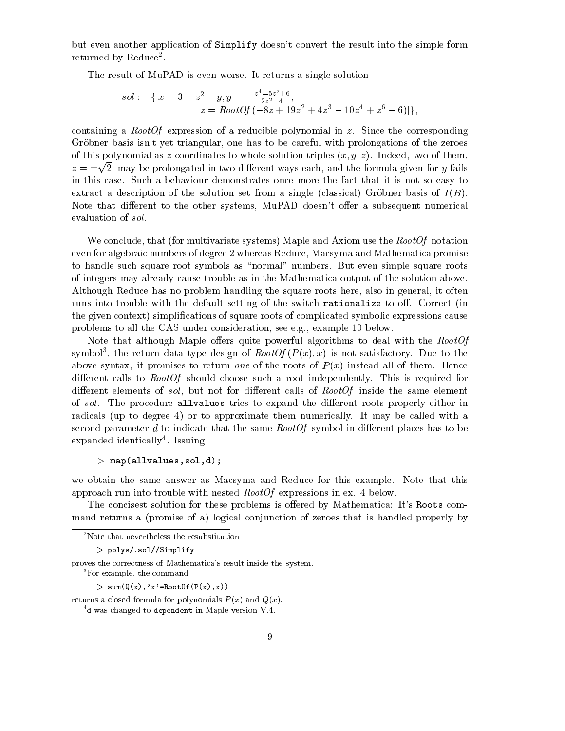but even another application of Simplify doesn't convert the result into the simple form returned by Reduce<sup>-</sup>.

The result of MuPAD is even worse. It returns a single solution

$$
sol := \{ [x = 3 - z^2 - y, y = -\frac{z^4 - 5z^2 + 6}{2z^2 - 4}, z = RootOf(-8z + 19z^2 + 4z^3 - 10z^4 + z^6 - 6)] \},
$$

containing a *RootOf* expression of a reducible polynomial in z. Since the corresponding Gröbner basis isn't yet triangular, one has to be careful with prolongations of the zeroes of this polynomial as z-coordinates to whole solution triples  $(x, y, z)$ . Indeed, two of them,  $z = \pm \sqrt{2}$ , may be prolongated in two different ways each, and the formula given for y fails in this case. Such a behaviour demonstrates once more the fact that it is not so easy to extract a description of the solution set from a single (classical) Gröbner basis of  $I(B)$ . Note that different to the other systems, MuPAD doesn't offer a subsequent numerical evaluation of sol.

We conclude, that (for multivariate systems) Maple and Axiom use the  $RootOf$  notation even for algebraic numbers of degree 2 whereas Reduce, Macsyma and Mathematica promise to handle such square root symbols as \normal" numbers. But even simple square roots of integers may already cause trouble as in the Mathematica output of the solution above. Although Reduce has no problem handling the square roots here, also in general, it often runs into trouble with the default setting of the switch rationalize to off. Correct (in the given context) simplications of square roots of complicated symbolic expressions cause problems to all the CAS under consideration, see e.g., example 10 below.

Note that although Maple offers quite powerful algorithms to deal with the RootOf symbol3, the return data type design of  $\mathit{RootU}_I$  ( $P$  (x), x) is not satisfactory. Due to the above syntax, it promises to return one of the roots of  $P(x)$  instead all of them. Hence different calls to  $RootOf$  should choose such a root independently. This is required for different elements of sol, but not for different calls of  $RootOf$  inside the same element of sol. The procedure allvalues tries to expand the different roots properly either in radicals (up to degree 4) or to approximate them numerically. It may be called with a second parameter d to indicate that the same  $RootOf$  symbol in different places has to be expanded identically . Issuing

```
> map(allvalues,sol,d);
```
we obtain the same answer as Macsyma and Reduce for this example. Note that this approach run into trouble with nested RootOf expressions in ex. 4 below.

The concisest solution for these problems is offered by Mathematica: It's Roots command returns a (promise of a) logical conjunction of zeroes that is handled properly by

 $>$  sum( $Q(x)$ , 'x'=RootOf( $P(x)$ , x))

returns a closed formula for polynomials  $P(x)$  and  $Q(x)$ .

<sup>&</sup>lt;sup>2</sup>Note that nevertheless the resubstitution

<sup>&</sup>gt; polys/.sol//Simplify

proves the correctness of Mathematica's result inside the system.

<sup>&</sup>lt;sup>3</sup>For example, the command

 $4d$  was changed to dependent in Maple version V.4.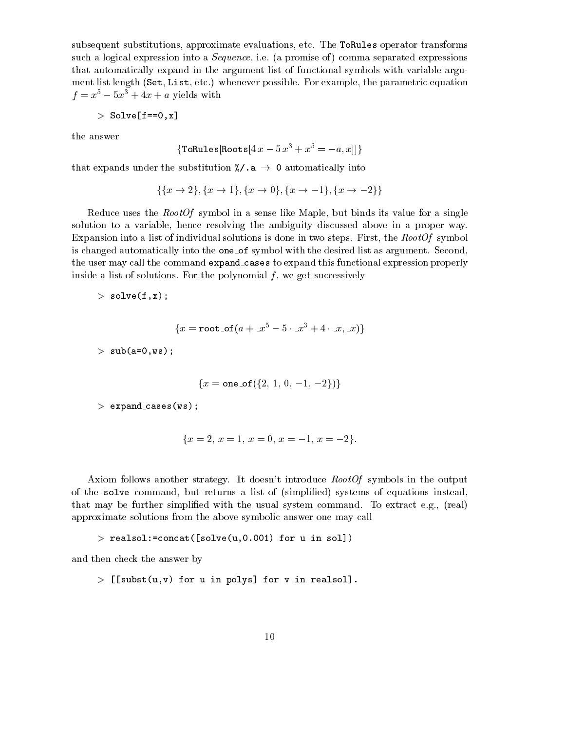subsequent substitutions, approximate evaluations, etc. The ToRules operator transforms such a logical expression into a *Sequence*, i.e. (a promise of) comma separated expressions that automatically expand in the argument list of functional symbols with variable argument list length (Set, List, etc.) whenever possible. For example, the parametric equation  $f = x^5 - 5x^3 + 4x + a$  yields with

$$
>\texttt{Solve} \;[\texttt{f==0,x}]
$$

the answer

$$
\{\texttt{ToRules}[\texttt{Roots}[4~x-5~x^3+x^5=-a,x]]\}
$$

that expands under the substitution  $\frac{1}{2}$ . a  $\rightarrow$  0 automatically into

$$
\{\{x \to 2\}, \{x \to 1\}, \{x \to 0\}, \{x \to -1\}, \{x \to -2\}\}\
$$

Reduce uses the RootOf symbol in a sense like Maple, but binds its value for a single solution to a variable, hence resolving the ambiguity discussed above in a proper way. Expansion into a list of individual solutions is done in two steps. First, the  $RootOf$  symbol is changed automatically into the one of symbol with the desired list as argument. Second, the user may call the command expand cases to expand this functional expression properly inside a list of solutions. For the polynomial  $f$ , we get successively

```
> solve(f,x);
```

$$
\{x = \texttt{root\_of}(a + \_x^5 - 5 \cdot \_x^3 + 4 \cdot \_x, \_x)\}
$$

 $>$  sub(a=0,ws);

$$
\{x = \text{one\_of}(\{2, 1, 0, -1, -2\})\}
$$

 $>$  expand\_cases(ws);

$$
\{x = 2, x = 1, x = 0, x = -1, x = -2\}.
$$

Axiom follows another strategy. It doesn't introduce RootOf symbols in the output of the solve command, but returns a list of (simplied) systems of equations instead, that may be further simplied with the usual system command. To extract e.g., (real) approximate solutions from the above symbolic answer one may call

```
> realsol:=concat([solve(u,0.001) for u in sol])
```
and then check the answer by

 $>$  [[subst(u,v) for u in polys] for v in realsol].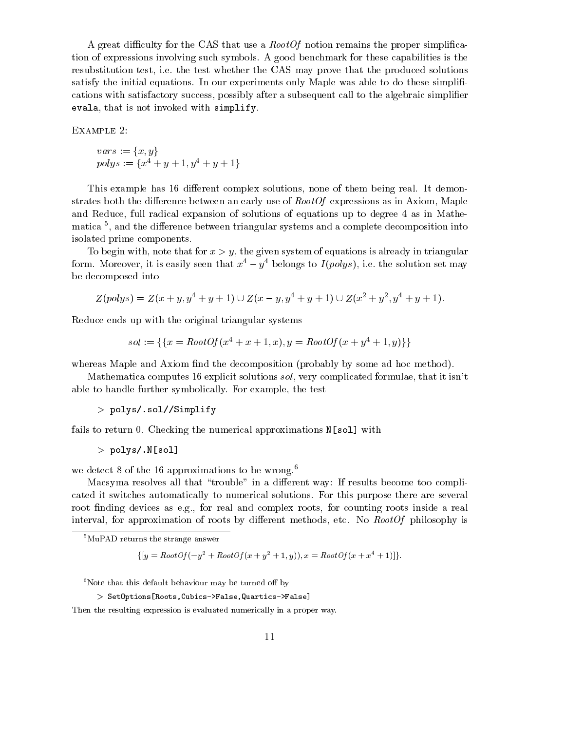A great difficulty for the CAS that use a  $RootOf$  notion remains the proper simplification of expressions involving such symbols. A good benchmark for these capabilities is the resubstitution test, i.e. the test whether the CAS may prove that the produced solutions satisfy the initial equations. In our experiments only Maple was able to do these simpli cations with satisfactory success, possibly after a subsequent call to the algebraic simplier evala, that is not invoked with simplify.

Example 2:

$$
vars := \{x, y\}
$$
  
polys :=  $\{x^4 + y + 1, y^4 + y + 1\}$ 

This example has 16 different complex solutions, none of them being real. It demonstrates both the difference between an early use of  $RootOf$  expressions as in Axiom, Maple and Reduce, full radical expansion of solutions of equations up to degree 4 as in Mathematica <sup>5</sup> , and the dierence between triangular systems and a complete decomposition into isolated prime components.

To begin with, note that for  $x>y$ , the given system of equations is already in triangular form. Moreover, it is easily seen that  $x^4 - y^4$  belongs to  $I(polys)$ , i.e. the solution set may be decomposed into

$$
Z(polys) = Z(x + y, y4 + y + 1) \cup Z(x - y, y4 + y + 1) \cup Z(x2 + y2, y4 + y + 1).
$$

Reduce ends up with the original triangular systems

$$
sol := \{ \{x = RootOf(x^4 + x + 1, x), y = RootOf(x + y^4 + 1, y)\} \}
$$

whereas Maple and Axiom find the decomposition (probably by some ad hoc method).

Mathematica computes 16 explicit solutions sol, very complicated formulae, that it isn't able to handle further symbolically. For example, the test

```
> polys/.sol//Simplify
```
fails to return 0. Checking the numerical approximations N[sol] with

```
> polys/.N[sol]
```
we detect 8 of the 16 approximations to be wrong.<sup>6</sup>

Macsyma resolves all that "trouble" in a different way: If results become too complicated it switches automatically to numerical solutions. For this purpose there are several root finding devices as e.g., for real and complex roots, for counting roots inside a real interval, for approximation of roots by different methods, etc. No  $RootOf$  philosophy is

$$
\{ [y = RootOf(-y^2 + RootOf(x + y^2 + 1, y)), x = RootOf(x + x^4 + 1)] \}.
$$

 $6$ Note that this default behaviour may be turned off by

```
> SetOptions[Roots,Cubics->False,Quartics->False]
```
Then the resulting expression is evaluated numerically in a proper way.

<sup>5</sup>MuPAD returns the strange answer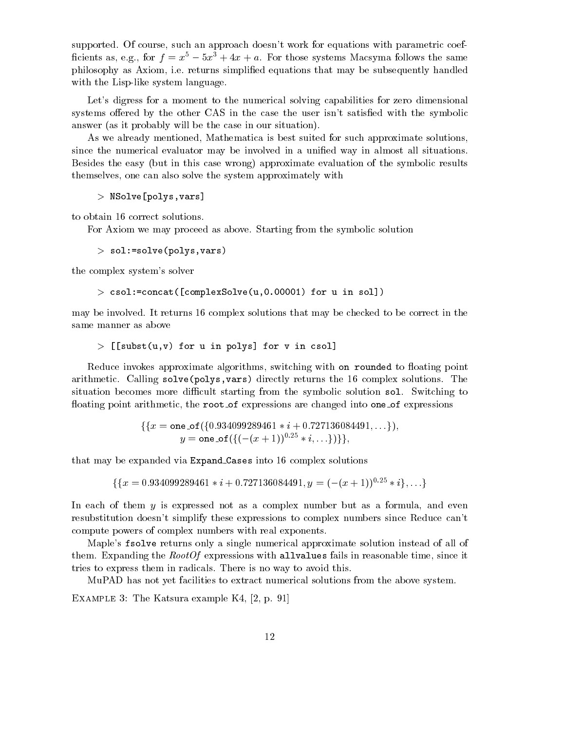supported. Of course, such an approach doesn't work for equations with parametric coef ficients as, e.g., for  $f = x^5 - 5x^3 + 4x + a$ . For those systems Macsyma follows the same philosophy as Axiom, i.e. returns simplied equations that may be subsequently handled with the Lisp-like system language.

Let's digress for a moment to the numerical solving capabilities for zero dimensional systems offered by the other CAS in the case the user isn't satisfied with the symbolic answer (as it probably will be the case in our situation).

As we already mentioned, Mathematica is best suited for such approximate solutions, since the numerical evaluator may be involved in a unified way in almost all situations. Besides the easy (but in this case wrong) approximate evaluation of the symbolic results themselves, one can also solve the system approximately with

> NSolve[polys,vars]

to obtain 16 correct solutions.

For Axiom we may proceed as above. Starting from the symbolic solution

 $>$  sol:=solve(polys, vars)

the complex system's solver

 $>$  csol:=concat([complexSolve(u,0.00001) for u in sol])

may be involved. It returns 16 complex solutions that may be checked to be correct in the same manner as above

 $>$  [[subst(u,v) for u in polys] for v in csol]

Reduce invokes approximate algorithms, switching with on rounded to floating point arithmetic. Calling solve (polys, vars) directly returns the 16 complex solutions. The situation becomes more difficult starting from the symbolic solution sol. Switching to floating point arithmetic, the root of expressions are changed into one of expressions

$$
\begin{aligned} \{ \{x = \text{one\_of}(\{0.934099289461 * i + 0.727136084491, \dots\}), \\ y = \text{one\_of}(\{(-(x+1))^{0.25} * i, \dots\}) \} \}, \end{aligned}
$$

that may be expanded via Expand Cases into 16 complex solutions

 $\{ \{x = 0.934099289461 * i + 0.727136084491, y = (- (x + 1))^{0.25} * i \}, \ldots \}$ 

In each of them  $y$  is expressed not as a complex number but as a formula, and even resubstitution doesn't simplify these expressions to complex numbers since Reduce can't compute powers of complex numbers with real exponents.

Maple's fsolve returns only a single numerical approximate solution instead of all of them. Expanding the  $RootOf$  expressions with allvalues fails in reasonable time, since it tries to express them in radicals. There is no way to avoid this.

MuPAD has not yet facilities to extract numerical solutions from the above system.

EXAMPLE 3: The Katsura example K4, [2, p. 91]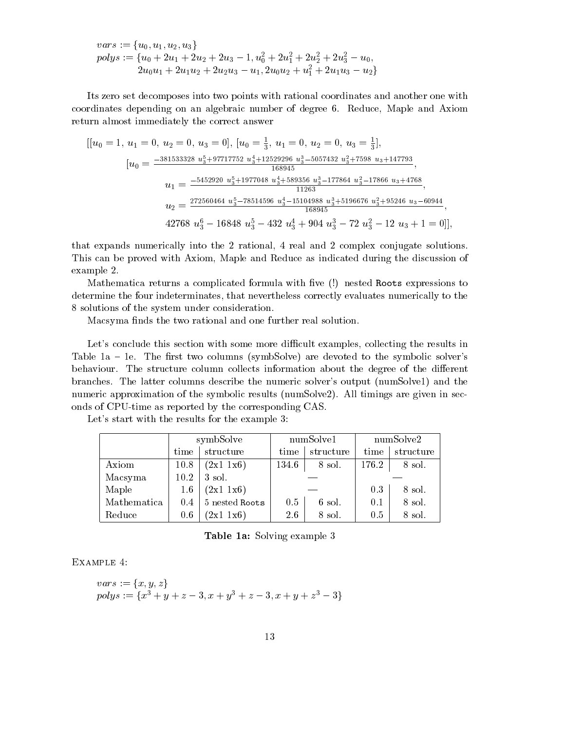$$
vars:=\{u_0, u_1, u_2, u_3\}\\polys:=\{u_0+2u_1+2u_2+2u_3-1, u_0^2+2u_1^2+2u_2^2+2u_3^2-u_0,\\2u_0u_1+2u_1u_2+2u_2u_3-u_1, 2u_0u_2+u_1^2+2u_1u_3-u_2\}
$$

Its zero set decomposes into two points with rational coordinates and another one with coordinates depending on an algebraic number of degree 6. Reduce, Maple and Axiom return almost immediately the correct answer

$$
[ [u_0 = 1, u_1 = 0, u_2 = 0, u_3 = 0], [u_0 = \frac{1}{3}, u_1 = 0, u_2 = 0, u_3 = \frac{1}{3}],
$$
  
\n
$$
[u_0 = \frac{-381533328 \ u_3^5 + 97717752 \ u_3^4 + 12529296 \ u_3^3 - 5057432 \ u_3^2 + 7598 \ u_3 + 147793}{168945},
$$
  
\n
$$
u_1 = \frac{-5452920 \ u_3^5 + 1977048 \ u_3^4 + 589356 \ u_3^3 - 177864 \ u_3^2 - 17866 \ u_3 + 4768}{11263},
$$
  
\n
$$
u_2 = \frac{272560464 \ u_3^5 - 78514596 \ u_3^4 - 15104988 \ u_3^3 + 5196676 \ u_3^2 + 95246 \ u_3 - 60944}{168945},
$$
  
\n42768  $u_3^6 - 16848 \ u_3^5 - 432 \ u_3^4 + 904 \ u_3^3 - 72 \ u_3^2 - 12 \ u_3 + 1 = 0 ]],$ 

that expands numerically into the 2 rational, 4 real and 2 complex conjugate solutions. This can be proved with Axiom, Maple and Reduce as indicated during the discussion of example 2.

Mathematica returns a complicated formula with five (!) nested Roots expressions to determine the four indeterminates, that nevertheless correctly evaluates numerically to the 8 solutions of the system under consideration.

Macsyma finds the two rational and one further real solution.

Let's conclude this section with some more difficult examples, collecting the results in Table 1a  $-$  1e. The first two columns (symbSolve) are devoted to the symbolic solver's behaviour. The structure column collects information about the degree of the different branches. The latter columns describe the numeric solver's output (numSolve1) and the numeric approximation of the symbolic results (numSolve2). All timings are given in seconds of CPU-time as reported by the corresponding CAS.

|             | symbSolve |                | numSolve1         |        | numSolve2 |           |
|-------------|-----------|----------------|-------------------|--------|-----------|-----------|
|             | time      | structure      | structure<br>time |        | time      | structure |
| Axiom       | 10.8      | (2x1 1x6)      | 134.6             | 8 sol. | 176.2     | 8 sol.    |
| Macsyma     | 10.2      | 3 sol.         |                   |        |           |           |
| Maple       | $1.6\,$   | (2x1 1x6)      |                   |        | $0.3\,$   | 8 sol.    |
| Mathematica | 0.4       | 5 nested Roots | 0.5               | 6 sol. | 0.1       | 8 sol.    |
| Reduce      | $0.6\,$   | $(2x1 \ 1x6)$  | 8 sol.<br>2.6     |        | $0.5\,$   | 8 sol.    |

Let's start with the results for the example 3:

Table 1a: Solving example 3

Example 4:

$$
vars := \{x, y, z\}
$$
  
polys :=  $\{x^3 + y + z - 3, x + y^3 + z - 3, x + y + z^3 - 3\}$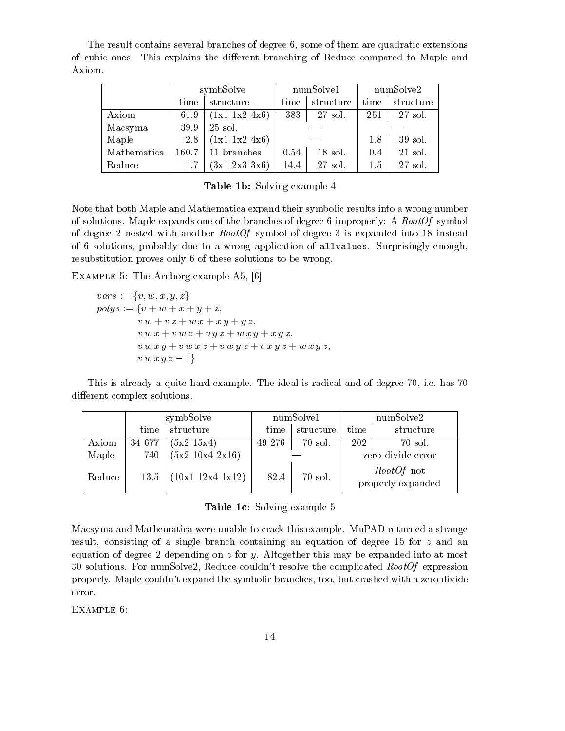The result contains several branches of degree 6, some of them are quadratic extensions of cubic ones. This explains the different branching of Reduce compared to Maple and Axiom.

|             |       | symbSolve         |                   | numSolve1 |         | numSolve2 |  |
|-------------|-------|-------------------|-------------------|-----------|---------|-----------|--|
|             | time  | structure         | time<br>structure |           | time    | structure |  |
| Axiom       | 61.9  | (1x1 1x2 4x6)     | 383               | 27 sol.   | 251     | 27 sol.   |  |
| Macsyma     | 39.9  | 25 sol.           |                   |           |         |           |  |
| Maple       | 2.8   | (1x1 1x2 4x6)     |                   |           |         | 39 sol.   |  |
| Mathematica | 160.7 | 11 branches       | 0.54              | $18$ sol. | 0.4     | 21 sol.   |  |
| Reduce      | 1.7   | $(3x1\;2x3\;3x6)$ | 14.4              | $27$ sol. | $1.5\,$ | 27 sol.   |  |

|  |  |  | <b>Table 1b:</b> Solving example 4 |  |
|--|--|--|------------------------------------|--|
|--|--|--|------------------------------------|--|

Note that both Maple and Mathematica expand their symbolic results into a wrong number of solutions. Maple expands one of the branches of degree 6 improperly: A  $RootOf$  symbol of degree 2 nested with another RootOf symbol of degree 3 is expanded into 18 instead of 6 solutions, probably due to a wrong application of allvalues. Surprisingly enough, resubstitution proves only 6 of these solutions to be wrong.

Example 5: The Arnborg example A5, [6]

$$
vars := \{v, w, x, y, z\}
$$
  
\n
$$
polys := \{v + w + x + y + z,
$$
  
\n
$$
v w + v z + w x + x y + y z,
$$
  
\n
$$
v w x + v w z + v y z + w x y + x y z,
$$
  
\n
$$
v w x y + v w x z + v w y z + v x y z + w x y z,
$$
  
\n
$$
v w x y z - 1\}
$$

This is already a quite hard example. The ideal is radical and of degree 70, i.e. has 70 different complex solutions.

|        | symbSolve |                  | numSolve1 |           | numSolve2         |                                        |
|--------|-----------|------------------|-----------|-----------|-------------------|----------------------------------------|
|        | time      | structure        | time      | structure | time              | structure                              |
| Axiom  | 34 677    | (5x2 15x4)       | 49 276    | 70 sol.   | 202               | 70 sol.                                |
| Maple  | 740       | (5x2 10x4 2x16)  |           |           | zero divide error |                                        |
| Reduce | 13.5      | (10x1 12x4 1x12) | 82.4      | 70 sol.   |                   | <i>RootOf</i> not<br>properly expanded |

#### Table 1c: Solving example 5

Macsyma and Mathematica were unable to crack this example. MuPAD returned a strange result, consisting of a single branch containing an equation of degree 15 for z and an equation of degree 2 depending on  $z$  for  $y$ . Altogether this may be expanded into at most 30 solutions. For numSolve2, Reduce couldn't resolve the complicated  $RootOf$  expression properly. Maple couldn't expand the symbolic branches, too, but crashed with a zero divide error.

Example 6: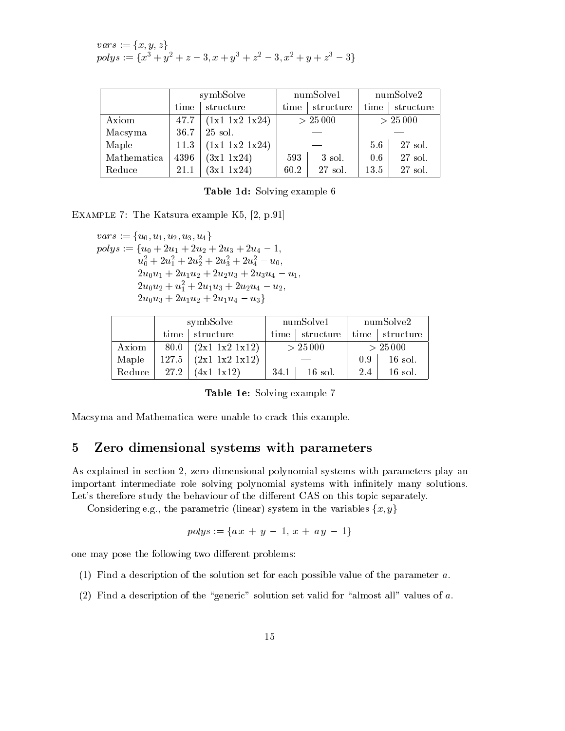$$
vars := \{x, y, z\}
$$
  
polys :=  $\{x^3 + y^2 + z - 3, x + y^3 + z^2 - 3, x^2 + y + z^3 - 3\}$ 

|             | symbSolve |                | numSolve1 |           | numSolve2 |           |
|-------------|-----------|----------------|-----------|-----------|-----------|-----------|
|             | time      | structure      | time      | structure | time      | structure |
| Axiom       | 47.7      | (1x1 1x2 1x24) | > 25000   |           | > 25000   |           |
| Macsyma     | 36.7      | 25 sol.        |           |           |           |           |
| Maple       | 11.3      | (1x1 1x2 1x24) |           |           | 5.6       | 27 sol.   |
| Mathematica | 4396      | (3x1 1x24)     | 593       | 3 sol.    | 0.6       | 27 sol.   |
| Reduce      | 21.1      | (3x1 1x24)     | 60.2      | 27 sol.   | 13.5      | 27 sol.   |

| <b>Table 1d:</b> Solving example 6 |  |  |  |
|------------------------------------|--|--|--|
|------------------------------------|--|--|--|

Example 7: The Katsura example K5, [2, p.91]

 $vars := \{u_0, u_1, u_2, u_3, u_4\}$  $polys := \{u_0 + 2u_1 + 2u_2 + 2u_3 + 2u_4 - 1,$  $u_0^+ + 2u_1^- + 2u_2^- + 2u_3^+ + 2u_4^- - u_0$  $2u_0u_1 + 2u_1u_2 + 2u_2u_3 + 2u_3u_4 - u_1$  $2u_0u_2 + u_1 + 2u_1u_3 + 2u_2u_4 - u_2,$  $2u_0u_3 + 2u_1u_2 + 2u_1u_4 - u_3$ 

|        | symbSolve |                      |         | numSolve1 | numSolve2 |                        |
|--------|-----------|----------------------|---------|-----------|-----------|------------------------|
|        | time      | structure            | time    | structure | time      | $\mathsf{I}$ structure |
| Axiom  | 80.0      | $(2x1 \ 1x2 \ 1x12)$ | > 25000 |           | > 25000   |                        |
| Maple  | 127.5     | (2x1 1x2 1x12)       |         |           | 0.9       | $16$ sol.              |
| Reduce | 27.2      | $(4x1 \; 1x12)$      | 34.1    | $16$ sol. | 2.4       | $16$ sol.              |

| <b>Table 1e:</b> Solving example 7 |  |  |  |
|------------------------------------|--|--|--|
|------------------------------------|--|--|--|

Macsyma and Mathematica were unable to crack this example.

### 5 Zero dimensional systems with parameters

As explained in section 2, zero dimensional polynomial systems with parameters play an important intermediate role solving polynomial systems with infinitely many solutions. Let's therefore study the behaviour of the different CAS on this topic separately.

Considering e.g., the parametric (linear) system in the variables  $\{x, y\}$ 

$$
polys := \{a\,x \,+\, y \,-\, 1,\, x \,+\, a\,y \,-\, 1\}
$$

one may pose the following two different problems:

- (1) Find a description of the solution set for each possible value of the parameter a.
- (2) Find a description of the "generic" solution set valid for "almost all" values of  $a$ .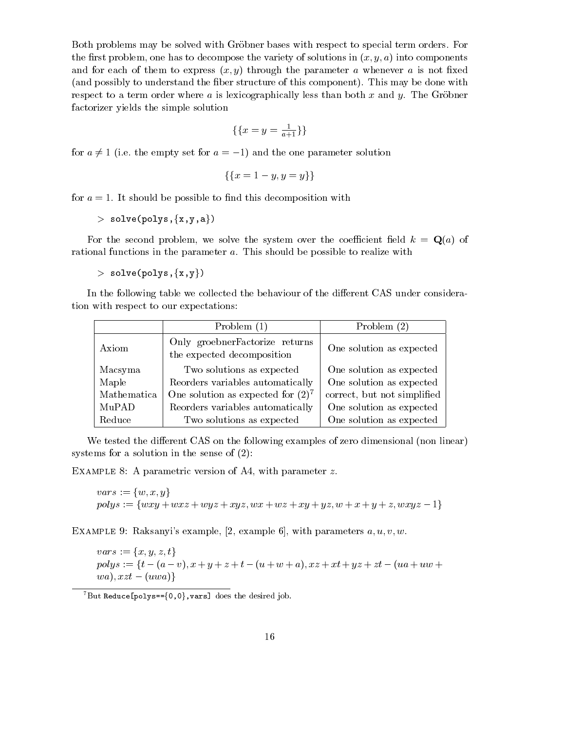Both problems may be solved with Gröbner bases with respect to special term orders. For the first problem, one has to decompose the variety of solutions in  $(x, y, a)$  into components and for each of them to express  $(x, y)$  through the parameter a whenever a is not fixed (and possibly to understand the fiber structure of this component). This may be done with respect to a term order where a is lexicographically less than both x and y. The Gröbner factorizer yields the simple solution

$$
\{\{x=y=\frac{1}{a+1}\}\}\
$$

for  $a \neq 1$  (i.e. the empty set for  $a = -1$ ) and the one parameter solution

$$
\{\{x = 1 - y, y = y\}\}\
$$

for  $a = 1$ . It should be possible to find this decomposition with

 $>$  solve(polys,  $\{x,y,a\}$ )

For the second problem, we solve the system over the coefficient field  $k = \mathbf{Q}(a)$  of rational functions in the parameter a. This should be possible to realize with

 $>$  solve(polys, $\{x,y\}$ )

In the following table we collected the behaviour of the different CAS under consideration with respect to our expectations:

|             | Problem $(1)$                                                 | Problem $(2)$               |
|-------------|---------------------------------------------------------------|-----------------------------|
| Axiom       | Only groebner Factorize returns<br>the expected decomposition | One solution as expected    |
| Macsyma     | Two solutions as expected                                     | One solution as expected    |
| Maple       | Reorders variables automatically                              | One solution as expected    |
| Mathematica | One solution as expected for $(2)^7$                          | correct, but not simplified |
| MuPAD       | Reorders variables automatically                              | One solution as expected    |
| Reduce      | Two solutions as expected                                     | One solution as expected    |

We tested the different CAS on the following examples of zero dimensional (non linear) systems for a solution in the sense of (2):

Example 8: A parametric version of A4, with parameter z.

 $vars := \{w, x, y\}$  $polys := \{wxy + wxz + wyz + xyz, wx + wz + xy + yz, w + x + y + z, wxyz - 1\}$ 

EXAMPLE 9: Raksanyi's example, [2, example 6], with parameters  $a, u, v, w$ .

 $vars := \{x, y, z, t\}$  $polys := \{t - (a - v), x + y + z + t - (u + w + a), xz + xt + yz + zt - (ua + uw + b)\}$  $(wa), xzt - (uwa)\}$ 

 $\sqrt[7]{But$  Reduce[polys=={0,0}, vars] does the desired job.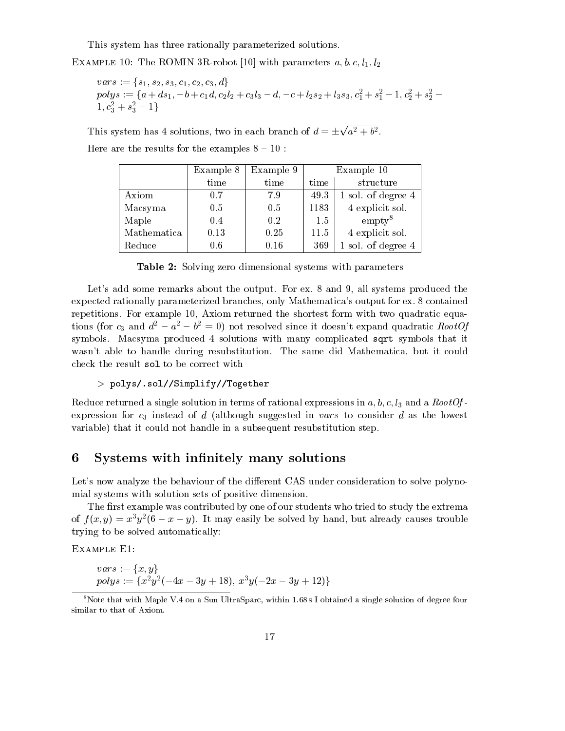This system has three rationally parameterized solutions.

EXAMPLE 10: The ROMIN 3R-robot [10] with parameters  $a, b, c, l_1, l_2$ 

$$
vars := \{s_1, s_2, s_3, c_1, c_2, c_3, d\}
$$
  
polys := \{a + ds\_1, -b + c\_1d, c\_2l\_2 + c\_3l\_3 - d, -c + l\_2s\_2 + l\_3s\_3, c\_1^2 + s\_1^2 - 1, c\_2^2 + s\_2^2 - 1, c\_3^2 + s\_3^2 - 1\}

This system has 4 solutions, two in each branch of  $d = \pm \sqrt{a^2 + b^2}$ . Here are the results for the examples  $8 - 10$ :

|             | Example 8 | Example 9 |      | Example 10         |
|-------------|-----------|-----------|------|--------------------|
|             | time      | time      | time | structure          |
| Axiom       | 0.7       | 7.9       | 49.3 | 1 sol. of degree 4 |
| Macsyma     | 0.5       | 0.5       | 1183 | 4 explicit sol.    |
| Maple       | 0.4       | 0.2       | 1.5  | $\text{empty}^8$   |
| Mathematica | 0.13      | 0.25      | 11.5 | 4 explicit sol.    |
| Reduce      | 0.6       | 0.16      | 369  | 1 sol. of degree 4 |

Table 2: Solving zero dimensional systems with parameters

Let's add some remarks about the output. For ex. 8 and 9, all systems produced the expected rationally parameterized branches, only Mathematica's output for ex. 8 contained repetitions. For example 10, Axiom returned the shortest form with two quadratic equations (for  $c_3$  and  $d^2 - a^2 - b^2 = 0$ ) not resolved since it doesn't expand quadratic RootOf symbols. Macsyma produced 4 solutions with many complicated sqrt symbols that it wasn't able to handle during resubstitution. The same did Mathematica, but it could check the result sol to be correct with

#### > polys/.sol//Simplify//Together

Reduce returned a single solution in terms of rational expressions in  $a, b, c, l_3$  and a RootOfexpression for  $c_3$  instead of d (although suggested in vars to consider d as the lowest variable) that it could not handle in a subsequent resubstitution step.

## 6 Systems with infinitely many solutions

Let's now analyze the behaviour of the different CAS under consideration to solve polynomial systems with solution sets of positive dimension.

The first example was contributed by one of our students who tried to study the extrema of  $f(x, y) = x_2y_1$  o  $-x-y_1$ . It may easily be solved by hand, but already causes trouble trying to be solved automatically:

Example E1:

$$
vars := \{x, y\}
$$
  
polys :=  $\{x^2y^2(-4x - 3y + 18), x^3y(-2x - 3y + 12)\}$ 

<sup>&</sup>lt;sup>8</sup>Note that with Maple V.4 on a Sun UltraSparc, within 1.68 s I obtained a single solution of degree four similar to that of Axiom.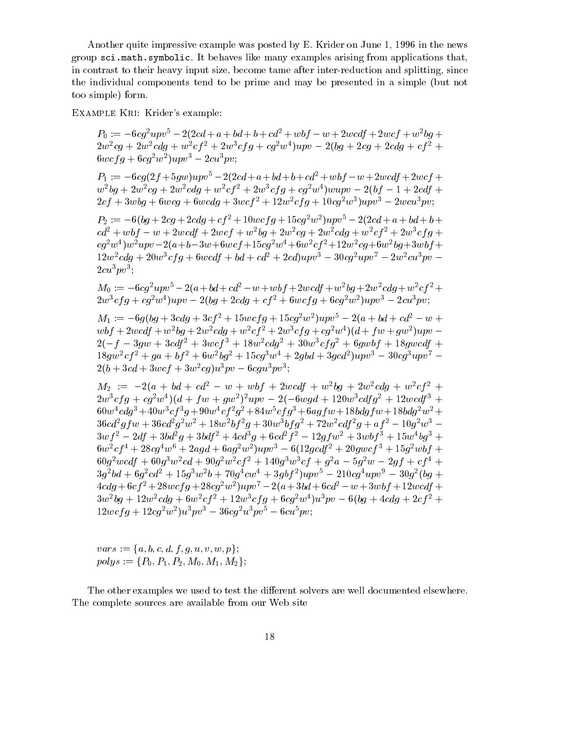Another quite impressive example was posted by E. Krider on June 1, 1996 in the news group sci.math.symbolic. It behaves like many examples arising from applications that, in contrast to their heavy input size, become tame after inter-reduction and splitting, since the individual components tend to be prime and may be presented in a simple (but not too simple) form.

Example Kri: Krider's example:

 $P_0 := -6cq^2upv^5 - 2(2cd + a + bd + b + cd^2 + wbf - w + 2wcdf + 2wcf + w^2bq +$  $2w\,c\,q + 2w\,c\,q + w\,c\,q + 2w\,c\,q + c\,q\,w\,q\,w\,q\,w - 2\,q\,q + 2c\,q\,r\,2c\,q\,q\,c\,q\,r\,c\,q\,r\,d\,q\,w\,d\,q\,w\,d\,q\,w\,d\,q\,w\,d\,q\,w\,d\,q\,w\,d\,q\,w\,d\,q\,w\,d\,q\,w\,d\,q\,w\,d\,q\,w\,d\,q\,w\,d\,q\,w$  $\sigma$ wcj $q + \sigma q$  w jupv $\sigma$  = 2cu pv;

 $P_1 := -6cg(2f + 5gw)upv^5 - 2(2cd + a + bd + b + cd^2 + wbf - w + 2wcdf + 2wcf +$  $w^2\bar{w}$  + 2w<sup>2</sup>cq + 2w<sup>2</sup>caq + w<sup>2</sup>c<sub>1</sub> + 2w<sup>2</sup>c<sub>1</sub> q + cq<sup>2</sup>w<sup>3</sup> |wupv - 2(b) - 1 + 2cal +  $2c_1 + 3w_0q + 6w_0q + 6w_0q + 3w_0q - 12w_0q + 12w_0q + 10w_0q - 2w_0q_0q + 6w_0q_0q$ 

 $P_2 := -0(0g + 2cg + 2cag + c_f^2 + 10wcf + 15cg^2w^2)u$  $cd^2 + wbf - w + 2wcdf + 2wcf + w^2bg + 2w^2cg + 2w^2cdg + w^2cf^2 + 2w^3cfg +$ cg2w4 )w2upv2(a+b3w+6wcf +15cg2w4+6w2cf 2+12w2cg+6w2bg+3wbf +  $12w^2cdg + 20w^3cfg + 6wcdf + bd + cd^2 + 2cd)uv^3 - 30cq^2uv^7 - 2w^2cu^3pv 2cu^3pv^3$ :

 $M_0 := -6cg^2upv^5 - 2(a+bd+cd^2-w +wbf + 2wcdf + w^2bg + 2w^2cdg + w^2cf^2 +$  $\Delta w$  c q  $q$  + cq<sup>2</sup>w  $\mu$  pv =  $\Delta$ (bq +  $\Delta$ caq + c  $\mu$  + 6wc q q + 6cq<sup>2</sup>w  $\mu$ pv =  $\Delta$ cu pv;

 $M_1 := -0$ g(bg +  $3c$ ag +  $3c$ f  $z$  + 15wcf g + 15cg<sup>-</sup>w<sup>-</sup> jupv $c - 2(a + b\bar{a} + c\bar{a}z - w + \bar{a}z)$  $w_0 + 2w_0$  +  $w_0$  +  $w_0$  +  $w_0$  +  $w_0$  +  $w_0$  +  $w_0$  +  $w_0$  +  $w_0$  +  $w_0$  +  $w_0$  +  $w_0$  +  $w_0$  +  $w_0$  +  $w_0$  +  $w_0$  +  $w_0$  +  $w_0$  +  $w_0$  +  $w_0$  +  $w_0$  +  $w_0$  +  $w_0$  +  $w_0$  +  $w_0$  +  $w_0$  +  $w_0$  +  $2(-f - 3gw + 3caf + 3wcf + 18w\cos^2\theta^2 + 30w\cos^2\theta^2 + 6gw\cos^2\theta^2 + 18g\cos^2\theta^2)$  $18qw^2cT^2 + qa + bf^2 + 6w^2bq^2 + 15cq^2w^2 + 2qba + 3qca^2yq\bar{v}y^2 - 30cq^2u\bar{v}y^2 2(0 + 3ca + 3wc + 3w^2ca)u^2pv - 6cqu^2v^3;$ 

 $M_2 := -2(a + bd + cd^2 - w + wbf + 2wcdf + w^2bq + 2w^2cdq + w^2cf^2 +$  $2w^{2}c_{1}y + c_{1}w^{2}w^{2}$  )  $(a + 1/w + qw^{2})^{2}wp - 2(-\omega wqa + 12\omega w^{2}ca_{1}q^{2} + 12\omega ca_{1}q^{2})$  $600w$  cag  $+40w$  cf  $q + 90w$  cf  $q + 84w$  cfg  $+ 0aq/w + 180aq/w + 180aq/w +$  $30c$ a  $q$ fw +  $30c$ a  $q$  w +  $18w$   $q$  +  $30w$   $q$   $q$  +  $12w$  caf  $q$  +  $a$ f  $q$  -  $10q$  w - $3wf^{2} - 2df + 3bd^{2}g + 3bdf^{2} + 4cd^{3}g + 6cd^{2}f^{2} - 12gfw^{2} + 3wbf^{3} + 15w^{4}bg^{3} +$  $6w^2c_1 + 2\omega c_2w^2 + 2aqa + 6aq^2w^2/wp^2 - 6(12qca_1^2 + 20qwc_1^2 + 15q^2w_2^2) +$  $60q^2 \text{ }$  wcat  $q^2 + 60q^2 \text{ }$  w c  $a^2 + 90q^2 \text{ }$  w c  $a^2 + 4q^2 \text{ }$  w c  $a^2 + 9q^2 \text{ }$  w c  $a^2 + 9q^2 \text{ }$  wcat  $a^2 + 9q^2 \text{ }$  wcat  $a^2 + 9q^2 \text{ }$  wcat  $a^2 + 9q^2 \text{ }$  wcat  $a^2 + 9q^2 \text{ }$  wcat  $a^2 + 9q^2 \text{ }$  w  $3q$ -0a + 0q-ca + 15q·w-0 + 10q-cw + 3qot-1upv - 210cq-upv - 30q-10q +  $4c a q + b c f + 28w c f q + 28c q w u p v^2 - 2(a + 3b a + b c a^2 - w + 3w b) + 12w c a f +$  $3w\,$   $0q + 12w\,$   $caq + 0w\,$   $c_f$   $+ 12w\,$   $c_f$   $q + 0cq\,$   $w\,$   $pv - 0\,$   $0q + 4caq + 2c_f$   $+$  $12wc$  |  $q + 12cq^2w^2u^2pv^2 - 36cq^2u^2pv^2 - 6cu^2pv^2$ ;

 $vars := \{a, b, c, d, f, g, u, v, w, p\};\$  $polys := \{P_0, P_1, P_2, M_0, M_1, M_2\};$ 

The other examples we used to test the different solvers are well documented elsewhere. The complete sources are available from our Web site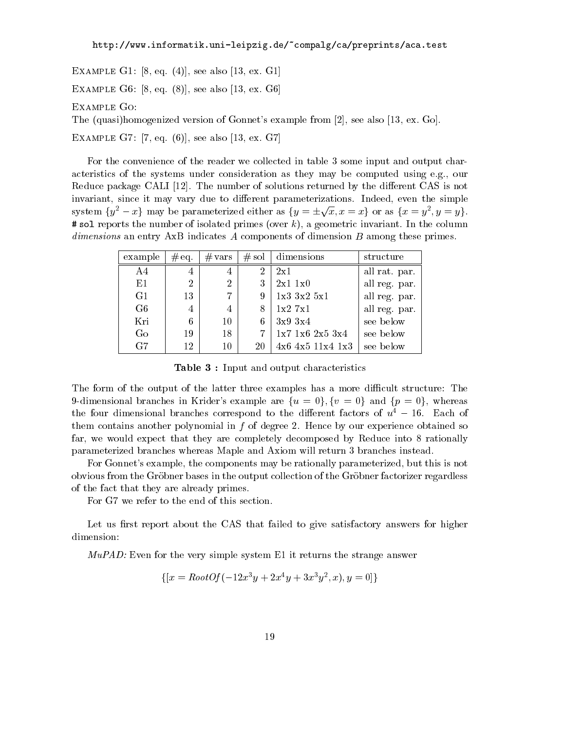Example G1: [8, eq. (4)], see also [13, ex. G1]

Example G6: [8, eq. (8)], see also [13, ex. G6]

Example Go:

The (quasi)homogenized version of Gonnet's example from [2], see also [13, ex. Go].

Example G7: [7, eq. (6)], see also [13, ex. G7]

For the convenience of the reader we collected in table 3 some input and output characteristics of the systems under consideration as they may be computed using e.g., our Reduce package CALI [12]. The number of solutions returned by the different CAS is not invariant, since it may vary due to different parameterizations. Indeed, even the simple system  $\{y^2 - x\}$  may be parameterized either as  $\{y = \pm \sqrt{x}, x = x\}$  or as  $\{x = y^2, y = y\}$ .  $\#$  sol reports the number of isolated primes (over k), a geometric invariant. In the column dimensions an entry AxB indicates A components of dimension B among these primes.

| example        | $#$ eq.        | $#$ vars       |             | $#$ sol   dimensions     | structure     |
|----------------|----------------|----------------|-------------|--------------------------|---------------|
| A4             | 4              | 4              | 2           | 2x1                      | all rat. par. |
| E1             | $\overline{2}$ | $\overline{2}$ | 3           | $2x1$ $1x0$              | all reg. par. |
| G1             | 13             | $\overline{7}$ | 9           | $1x3 \t3x2 \t5x1$        | all reg. par. |
| G <sub>6</sub> | 4              | 4              | 8           | $1x2 \t7x1$              | all reg. par. |
| Kri            | 6              | 10             | 6           | 3x9 3x4                  | see below     |
| Go             | 19             | 18             | $7^{\circ}$ | $1x7$ 1x6 2x5 3x4        | see below     |
| G7             | 12             | 10             | 20          | $4x6$ $4x5$ $11x4$ $1x3$ | see below     |

Table 3 : Input and output characteristics

The form of the output of the latter three examples has a more difficult structure: The 9-dimensional branches in Krider's example are  $\{u = 0\}$ ,  $\{v = 0\}$  and  $\{p = 0\}$ , whereas the four dimensional branches correspond to the different factors of  $u^4 - 16$ . Each of them contains another polynomial in  $f$  of degree 2. Hence by our experience obtained so far, we would expect that they are completely decomposed by Reduce into 8 rationally parameterized branches whereas Maple and Axiom will return 3 branches instead.

For Gonnet's example, the components may be rationally parameterized, but this is not obvious from the Grobner bases in the output collection of the Grobner factorizer regardless of the fact that they are already primes.

For G7 we refer to the end of this section.

Let us first report about the CAS that failed to give satisfactory answers for higher dimension:

 $MuPAD$ : Even for the very simple system E1 it returns the strange answer

$$
\{ [x = RootOf(-12x^{3}y + 2x^{4}y + 3x^{3}y^{2}, x), y = 0] \}
$$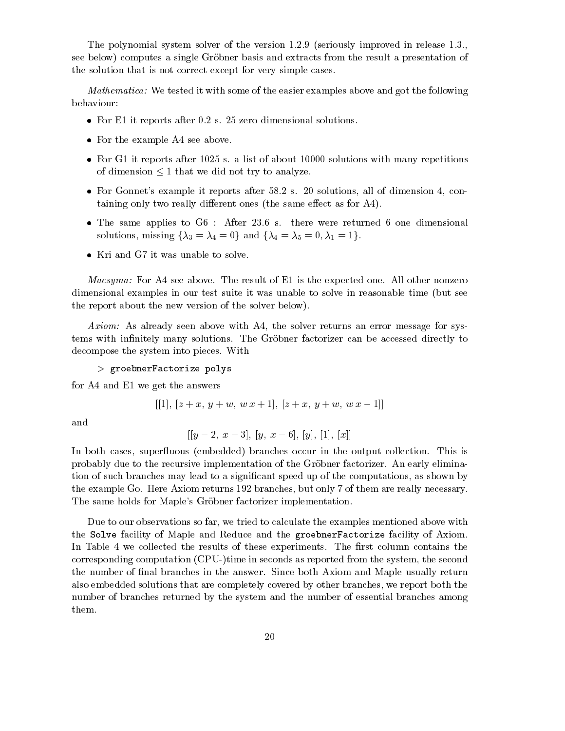The polynomial system solver of the version 1.2.9 (seriously improved in release 1.3., see below) computes a single Grobner basis and extracts from the result a presentation of the solution that is not correct except for very simple cases.

*Mathematica:* We tested it with some of the easier examples above and got the following behaviour:

- $\bullet\,$  for E1 it reports after 0.2 s. 25 zero dimensional solutions.  $\,$
- For the example A4 see above.
- $\bullet$  for G1 it reports after 1025 s. a list of about 10000 solutions with many repetitions of dimension  $\leq 1$  that we did not try to analyze.
- For Gonnet's example it reports after 58.2 s. 20 solutions, all of dimension 4, containing only two really different ones (the same effect as for A4).
- $\bullet$  The same applies to G6 : Alter 23.6 s. there were returned 6 one dimensional solutions, missing  $\{\lambda_3 = \lambda_4 = 0\}$  and  $\{\lambda_4 = \lambda_5 = 0, \lambda_1 = 1\}.$
- $\bullet\,$  Kri and G7 it was unable to solve.  $\,$

*Macsyma:* For A4 see above. The result of E1 is the expected one. All other nonzero dimensional examples in our test suite it was unable to solve in reasonable time (but see the report about the new version of the solver below).

Axiom: As already seen above with A4, the solver returns an error message for systems with infinitely many solutions. The Gröbner factorizer can be accessed directly to decompose the system into pieces. With

> groebnerFactorize polys

for A4 and E1 we get the answers

$$
[[1], [z+x, y+w, w x+1], [z+x, y+w, w x-1]]
$$

and

$$
[[y-2,\ x-3],\ [y,\ x-6],\ [y],\ [1],\ [x]]
$$

In both cases, superfluous (embedded) branches occur in the output collection. This is probably due to the recursive implementation of the Grobner factorizer. An early elimination of such branches may lead to a signicant speed up of the computations, as shown by the example Go. Here Axiom returns 192 branches, but only 7 of them are really necessary. The same holds for Maple's Gröbner factorizer implementation.

Due to our observations so far, we tried to calculate the examples mentioned above with the Solve facility of Maple and Reduce and the groebnerFactorize facility of Axiom. In Table 4 we collected the results of these experiments. The first column contains the corresponding computation (CPU-)time in seconds as reported from the system, the second the number of final branches in the answer. Since both Axiom and Maple usually return also embedded solutions that are completely covered by other branches, we report both the number of branches returned by the system and the number of essential branches among them.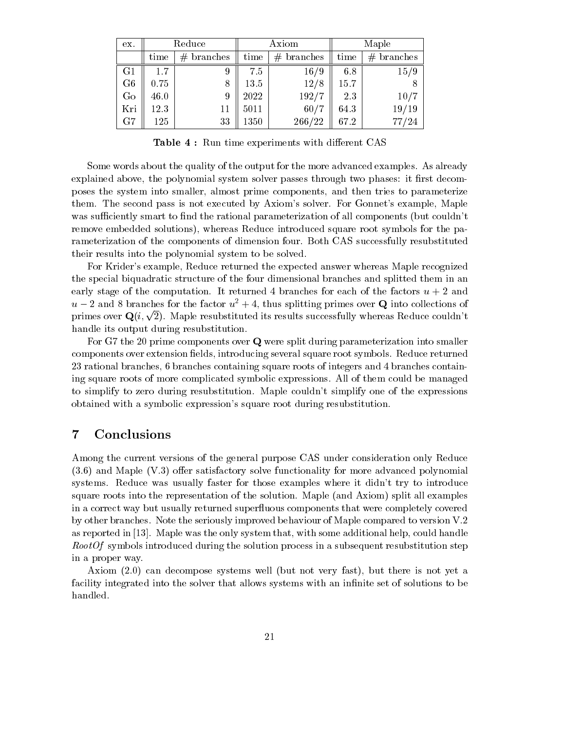| ex.            |         | Reduce        |      | Axiom        | Maple |               |  |
|----------------|---------|---------------|------|--------------|-------|---------------|--|
|                | time    | #<br>branches | time | $#$ branches | time  | #<br>branches |  |
| G1             | $1.7\,$ |               | 7.5  | 16/9         | 6.8   | 15/9          |  |
| G <sub>6</sub> | 0.75    |               | 13.5 | 12/8         | 15.7  | 8             |  |
| Go             | 46.0    | 9             | 2022 | 192/7        | 2.3   | 10/7          |  |
| Kri            | 12.3    | 11            | 5011 | 60/7         | 64.3  | 19/19         |  |
| G7             | 125     | 33            | 1350 | 266/22       | 67.2  | 77/24         |  |

**Table 4:** Run time experiments with different CAS

Some words about the quality of the output for the more advanced examples. As already explained above, the polynomial system solver passes through two phases: it first decomposes the system into smaller, almost prime components, and then tries to parameterize them. The second pass is not executed by Axiom's solver. For Gonnet's example, Maple was sufficiently smart to find the rational parameterization of all components (but couldn't remove embedded solutions), whereas Reduce introduced square root symbols for the parameterization of the components of dimension four. Both CAS successfully resubstituted their results into the polynomial system to be solved.

For Krider's example, Reduce returned the expected answer whereas Maple recognized the special biquadratic structure of the four dimensional branches and splitted them in an early stage of the computation. It returned 4 branches for each of the factors  $u + 2$  and  $u-2$  and 8 branches for the factor  $u^2+4$ , thus splitting primes over Q into collections of primes over  $\mathbf{Q}(i, \sqrt{2})$ . Maple resubstituted its results successfully whereas Reduce couldn't handle its output during resubstitution.

For G7 the 20 prime components over Q were split during parameterization into smaller components over extension fields, introducing several square root symbols. Reduce returned 23 rational branches, 6 branches containing square roots of integers and 4 branches containing square roots of more complicated symbolic expressions. All of them could be managed to simplify to zero during resubstitution. Maple couldn't simplify one of the expressions obtained with a symbolic expression's square root during resubstitution.

### 7 Conclusions

Among the current versions of the general purpose CAS under consideration only Reduce  $(3.6)$  and Maple  $(V.3)$  offer satisfactory solve functionality for more advanced polynomial systems. Reduce was usually faster for those examples where it didn't try to introduce square roots into the representation of the solution. Maple (and Axiom) split all examples in a correct way but usually returned super
uous components that were completely covered by other branches. Note the seriously improved behaviour of Maple compared to version V.2 as reported in [13]. Maple was the only system that, with some additional help, could handle  $RootOf$  symbols introduced during the solution process in a subsequent resubstitution step in a proper way.

Axiom (2.0) can decompose systems well (but not very fast), but there is not yet a facility integrated into the solver that allows systems with an infinite set of solutions to be handled.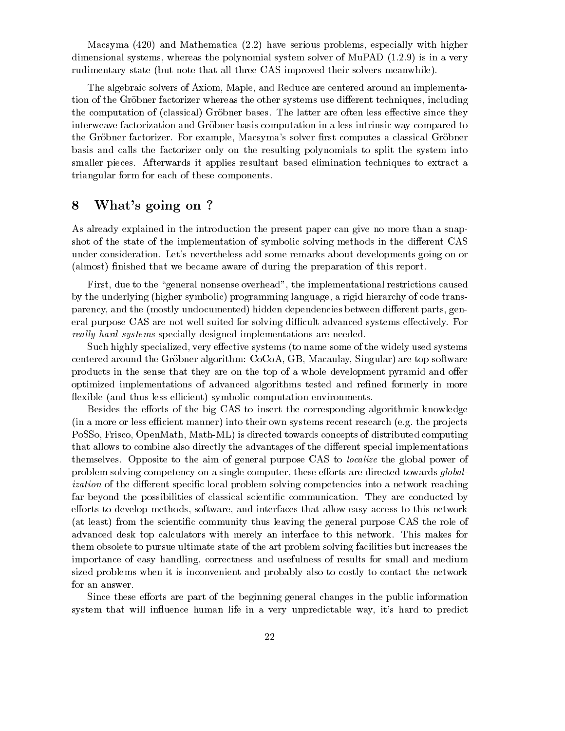Macsyma (420) and Mathematica (2.2) have serious problems, especially with higher dimensional systems, whereas the polynomial system solver of MuPAD (1.2.9) is in a very rudimentary state (but note that all three CAS improved their solvers meanwhile).

The algebraic solvers of Axiom, Maple, and Reduce are centered around an implementation of the Gröbner factorizer whereas the other systems use different techniques, including the computation of (classical) Gröbner bases. The latter are often less effective since they interweave factorization and Gröbner basis computation in a less intrinsic way compared to the Gröbner factorizer. For example, Macsyma's solver first computes a classical Gröbner basis and calls the factorizer only on the resulting polynomials to split the system into smaller pieces. Afterwards it applies resultant based elimination techniques to extract a triangular form for each of these components.

### 8 What's going on ?

As already explained in the introduction the present paper can give no more than a snapshot of the state of the implementation of symbolic solving methods in the different CAS under consideration. Let's nevertheless add some remarks about developments going on or (almost) finished that we became aware of during the preparation of this report.

First, due to the "general nonsense overhead", the implementational restrictions caused by the underlying (higher symbolic) programming language, a rigid hierarchy of code transparency, and the (mostly undocumented) hidden dependencies between different parts, general purpose CAS are not well suited for solving difficult advanced systems effectively. For really hard systems specially designed implementations are needed.

Such highly specialized, very effective systems (to name some of the widely used systems centered around the Gröbner algorithm: CoCoA, GB, Macaulay, Singular) are top software products in the sense that they are on the top of a whole development pyramid and offer optimized implementations of advanced algorithms tested and refined formerly in more flexible (and thus less efficient) symbolic computation environments.

Besides the efforts of the big CAS to insert the corresponding algorithmic knowledge  $(in a more or less efficient manner) into their own systems recent research (e.g. the projects$ PoSSo, Frisco, OpenMath, Math-ML) is directed towards concepts of distributed computing that allows to combine also directly the advantages of the different special implementations themselves. Opposite to the aim of general purpose CAS to localize the global power of problem solving competency on a single computer, these efforts are directed towards global*ization* of the different specific local problem solving competencies into a network reaching far beyond the possibilities of classical scientic communication. They are conducted by efforts to develop methods, software, and interfaces that allow easy access to this network (at least) from the scientic community thus leaving the general purpose CAS the role of advanced desk top calculators with merely an interface to this network. This makes for them obsolete to pursue ultimate state of the art problem solving facilities but increases the importance of easy handling, correctness and usefulness of results for small and medium sized problems when it is inconvenient and probably also to costly to contact the network for an answer.

Since these efforts are part of the beginning general changes in the public information system that will influence human life in a very unpredictable way, it's hard to predict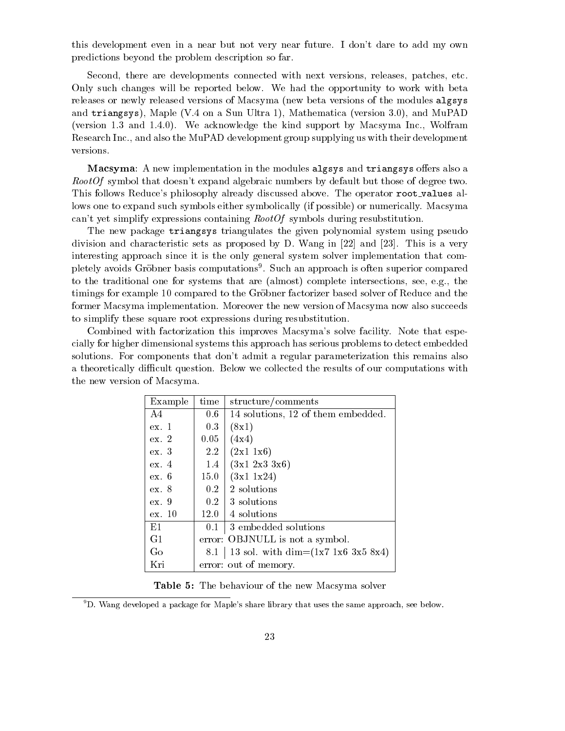this development even in a near but not very near future. I don't dare to add my own predictions beyond the problem description so far.

Second, there are developments connected with next versions, releases, patches, etc. Only such changes will be reported below. We had the opportunity to work with beta releases or newly released versions of Macsyma (new beta versions of the modules algsys and triangsys), Maple (V.4 on a Sun Ultra 1), Mathematica (version 3.0), and MuPAD (version 1.3 and 1.4.0). We acknowledge the kind support by Macsyma Inc., Wolfram Research Inc., and also the MuPAD development group supplying us with their development versions.

**Macsyma:** A new implementation in the modules algsys and triangsys offers also a RootOf symbol that doesn't expand algebraic numbers by default but those of degree two. This follows Reduce's philosophy already discussed above. The operator root\_values allows one to expand such symbols either symbolically (if possible) or numerically. Macsyma can't yet simplify expressions containing RootOf symbols during resubstitution.

The new package triangsys triangulates the given polynomial system using pseudo division and characteristic sets as proposed by D. Wang in [22] and [23]. This is a very interesting approach since it is the only general system solver implementation that completely avoids Grobner basis computations9 . Such an approach is often superior compared to the traditional one for systems that are (almost) complete intersections, see, e.g., the timings for example 10 compared to the Grobner factorizer based solver of Reduce and the former Macsyma implementation. Moreover the new version of Macsyma now also succeeds to simplify these square root expressions during resubstitution.

Combined with factorization this improves Macsyma's solve facility. Note that especially for higher dimensional systems this approach has serious problems to detect embedded solutions. For components that don't admit a regular parameterization this remains also a theoretically difficult question. Below we collected the results of our computations with the new version of Macsyma.

| Example | time    | structure/comments                    |
|---------|---------|---------------------------------------|
| A4      | $0.6\,$ | 14 solutions, 12 of them embedded.    |
| ex. 1   | $0.3\,$ | (8x1)                                 |
| ex. 2   | 0.05    | (4x4)                                 |
| ex. 3   | $2.2\,$ | (2x1 1x6)                             |
| ex.4    | 1.4     | $(3x1\;2x3\;3x6)$                     |
| ex. 6   | 15.0    | (3x1 1x24)                            |
| ex. 8   |         | $0.2 \mid 2$ solutions                |
| ex.9    |         | $0.2 \pm 3$ solutions                 |
| ex. 10  |         | $12.0 \pm 4$ solutions                |
| E1      | 0.1     | 3 embedded solutions                  |
| G1      |         | error: OBJNULL is not a symbol.       |
| Go      | 8.1     | 13 sol. with dim= $(1x7 1x6 3x5 8x4)$ |
| Kri     |         | error: out of memory.                 |

Table 5: The behaviour of the new Macsyma solver

 $9D$ . Wang developed a package for Maple's share library that uses the same approach, see below.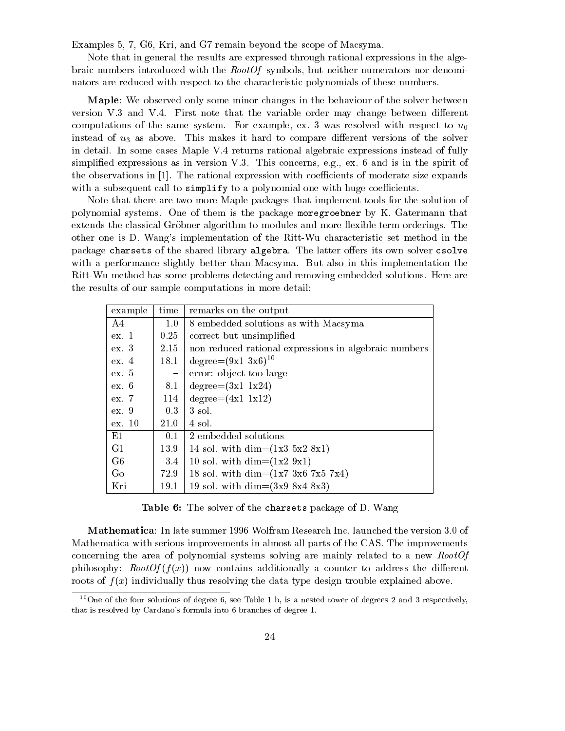Examples 5, 7, G6, Kri, and G7 remain beyond the scope of Macsyma.

Note that in general the results are expressed through rational expressions in the algebraic numbers introduced with the RootOf symbols, but neither numerators nor denominators are reduced with respect to the characteristic polynomials of these numbers.

Maple: We observed only some minor changes in the behaviour of the solver between version V.3 and V.4. First note that the variable order may change between different computations of the same system. For example, ex. 3 was resolved with respect to  $u_0$ instead of  $u_3$  as above. This makes it hard to compare different versions of the solver in detail. In some cases Maple V.4 returns rational algebraic expressions instead of fully simplied expressions as in version V.3. This concerns, e.g., ex. 6 and is in the spirit of the observations in  $[1]$ . The rational expression with coefficients of moderate size expands with a subsequent call to  $simplify$  to a polynomial one with huge coefficients.

Note that there are two more Maple packages that implement tools for the solution of polynomial systems. One of them is thepackage moregroebner by K. Gatermann that extends the classical Gröbner algorithm to modules and more flexible term orderings. The other one is D. Wang's implementation of the Ritt-Wu characteristic set method in the package charsets of the shared library algebra. The latter offers its own solver csolve with a performance slightly better than Macsyma. But also in this implementation the Ritt-Wu method has some problems detecting and removing embedded solutions. Here are the results of our sample computations in more detail:

| example        | time                           | remarks on the output                                 |
|----------------|--------------------------------|-------------------------------------------------------|
| A4             | $1.0\,$                        | 8 embedded solutions as with Macsyma                  |
| ex.1           | 0.25                           | correct but unsimplified                              |
| ex.3           | 2.15                           | non reduced rational expressions in algebraic numbers |
| ex. 4          | 18.1                           | degree= $(9x1\ 3x6)^{10}$                             |
| ex.5           | $\qquad \qquad \longleftarrow$ | error: object too large                               |
| ех. 6          | 8.1                            | $degree=(3x1 1x24)$                                   |
| ex. 7          | 114                            | $degree=(4x1 1x12)$                                   |
| ex.9           | 0.3                            | 3 sol.                                                |
| ex. 10         | 21.0                           | 4 sol.                                                |
| E1             | 0.1                            | 2 embedded solutions                                  |
| G1             | 13.9                           | 14 sol. with dim= $(1x3 5x2 8x1)$                     |
| G <sub>6</sub> | 3.4                            | 10 sol. with dim= $(1x2 9x1)$                         |
| Go             | 72.9                           | 18 sol. with dim= $(1x7 3x6 7x5 7x4)$                 |
| Kri            | 19.1                           | 19 sol. with dim= $(3x9 8x4 8x3)$                     |

Table 6: The solver of the charsets package of D. Wang

Mathematica: In late summer 1996 Wolfram Research Inc. launched the version 3.0 of Mathematica with serious improvements in almost all parts of the CAS. The improvements concerning the area of polynomial systems solving are mainly related to a new RootOf philosophy:  $RootOf(f(x))$  now contains additionally a counter to address the different roots of  $f(x)$  individually thus resolving the data type design trouble explained above.

<sup>&</sup>lt;sup>10</sup>One of the four solutions of degree 6, see Table 1 b, is a nested tower of degrees 2 and 3 respectively, that is resolved by Cardano's formula into 6 branches of degree 1.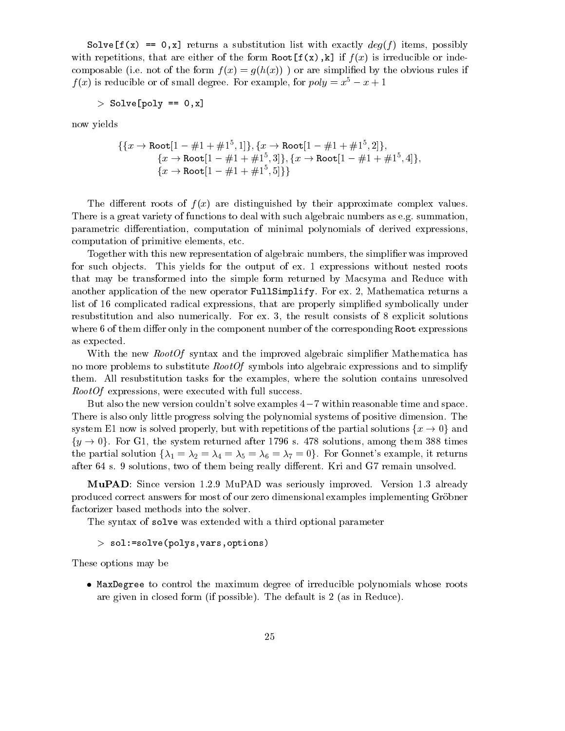Solve  $[f(x) == 0, x]$  returns a substitution list with exactly  $deg(f)$  items, possibly with repetitions, that are either of the form  $Root[f(x),k]$  if  $f(x)$  is irreducible or indecomposable (i.e. not of the form  $f(x) = g(h(x))$ ) or are simplified by the obvious rules if  $f(x)$  is reducible or of small degree. For example, for  $poly = x^5 - x + 1$ 

$$
> \text{ Solve [poly} == 0, x]
$$

now yields

$$
\begin{aligned}\n\{\{x \to \text{Root}[1 - \#1 + \#1^5, 1]\}, \{x \to \text{Root}[1 - \#1 + \#1^5, 2]\}, \\
\{x \to \text{Root}[1 - \#1 + \#1^5, 3]\}, \{x \to \text{Root}[1 - \#1 + \#1^5, 4]\}, \\
\{x \to \text{Root}[1 - \#1 + \#1^5, 5]\}\n\end{aligned}
$$

The different roots of  $f(x)$  are distinguished by their approximate complex values. There is a great variety of functions to deal with such algebraic numbers as e.g. summation, parametric differentiation, computation of minimal polynomials of derived expressions, computation of primitive elements, etc.

Together with this new representation of algebraic numbers, the simplier was improved for such objects. This yields for the output of ex. 1 expressions without nested roots that may be transformed into the simple form returned by Macsyma and Reduce with another application of the new operator FullSimplify. For ex. 2, Mathematica returns a list of 16 complicated radical expressions, that are properly simplied symbolically under resubstitution and also numerically. For ex. 3, the result consists of 8 explicit solutions where 6 of them differ only in the component number of the corresponding Root expressions as expected.

With the new *RootOf* syntax and the improved algebraic simplifier Mathematica has no more problems to substitute  $RootOf$  symbols into algebraic expressions and to simplify them. All resubstitution tasks for the examples, where the solution contains unresolved RootOf expressions, were executed with full success.

But also the new version couldn't solve examples  $4-7$  within reasonable time and space. There is also only little progress solving the polynomial systems of positive dimension. The system E1 now is solved properly, but with repetitions of the partial solutions  $\{x \to 0\}$  and  $\{y \to 0\}$ . For G1, the system returned after 1796 s. 478 solutions, among them 388 times the partial solution  $\{\lambda_1 = \lambda_2 = \lambda_4 = \lambda_5 = \lambda_6 = \lambda_7 = 0\}$ . For Gonnet's example, it returns after 64 s. 9 solutions, two of them being really different. Kri and G7 remain unsolved.

MuPAD: Since version 1.2.9 MuPAD was seriously improved. Version 1.3 already produced correct answers for most of our zero dimensional examples implementing Gröbner factorizer based methods into the solver.

The syntax of solve was extended with a third optional parameter

> sol:=solve(polys,vars,options)

These options may be

 $\bullet$  <code>maxDegree</code> to control the maximum degree of irreducible polynomials whose roots are given in closed form (if possible). The default is 2 (as in Reduce).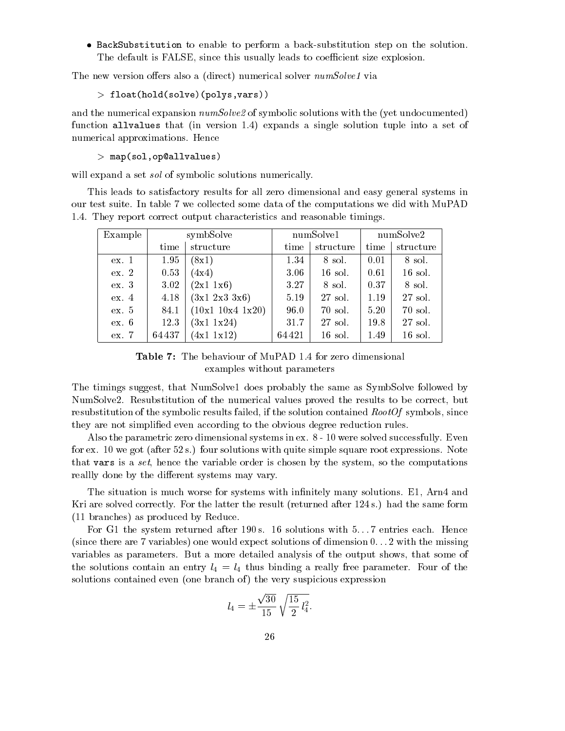$\bullet$  backsubstitution to enable to perform a back-substitution step on the solution. The default is FALSE, since this usually leads to coefficient size explosion.

The new version offers also a (direct) numerical solver  $numSolve1$  via

> float(hold(solve)(polys,vars))

and the numerical expansion  $numSolve2$  of symbolic solutions with the (yet undocumented) function allvalues that (in version 1.4) expands a single solution tuple into a set of numerical approximations. Hence

 $>$  map(sol,op@allvalues)

will expand a set *sol* of symbolic solutions numerically.

This leads to satisfactory results for all zero dimensional and easy general systems in our test suite. In table 7 we collected some data of the computations we did with MuPAD 1.4. They report correct output characteristics and reasonable timings.

| Example | symbSolve |                       | numSolve1 |           | numSolve2 |           |  |
|---------|-----------|-----------------------|-----------|-----------|-----------|-----------|--|
|         | time      | structure             | time      | structure | time      | structure |  |
| ex.1    | 1.95      | (8x1)                 | 1.34      | 8 sol.    | 0.01      | 8 sol.    |  |
| ex. 2   | 0.53      | (4x4)                 | 3.06      | $16$ sol. | 0.61      | 16 sol.   |  |
| ex.3    | 3.02      | $(2x1 \; 1x6)$        | 3.27      | 8 sol.    | 0.37      | 8 sol.    |  |
| ex.4    | 4.18      | $(3x1 \; 2x3 \; 3x6)$ | 5.19      | 27 sol.   | 1.19      | 27 sol.   |  |
| ex. 5   | 84.1      | (10x1 10x4 1x20)      | 96.0      | 70 sol.   | 5.20      | 70 sol.   |  |
| ex.6    | 12.3      | $(3x1 \ 1x24)$        | 31.7      | 27 sol.   | 19.8      | 27 sol.   |  |
| ex. 7   | 64 437    | (4x1 1x12)            | 64421     | 16 sol.   | 1.49      | 16 sol.   |  |

Table 7: The behaviour of MuPAD 1.4 for zero dimensional examples without parameters

The timings suggest, that NumSolve1 does probably the same as SymbSolve followed by NumSolve2. Resubstitution of the numerical values proved the results to be correct, but resubstitution of the symbolic results failed, if the solution contained  $RootOf$  symbols, since they are not simplied even according to the obvious degree reduction rules.

Also the parametric zero dimensional systems in ex. 8 - 10 were solved successfully. Even for ex. 10 we got (after 52 s.) four solutions with quite simple square root expressions. Note that vars is a set, hence the variable order is chosen by the system, so the computations really done by the different systems may vary.

The situation is much worse for systems with infinitely many solutions. E1, Arn4 and Kri are solved correctly. For the latter the result (returned after 124 s.) had the same form (11 branches) as produced by Reduce.

For G1 the system returned after 190 s. 16 solutions with  $5...7$  entries each. Hence (since there are 7 variables) one would expect solutions of dimension 0. . . 2 with the missing variables as parameters. But a more detailed analysis of the output shows, that some of the solutions contain an entry  $l_4 = l_4$  thus binding a really free parameter. Four of the solutions contained even (one branch of) the very suspicious expression

$$
l_4 = \pm \frac{\sqrt{30}}{15} \sqrt{\frac{15}{2} l_4^2}.
$$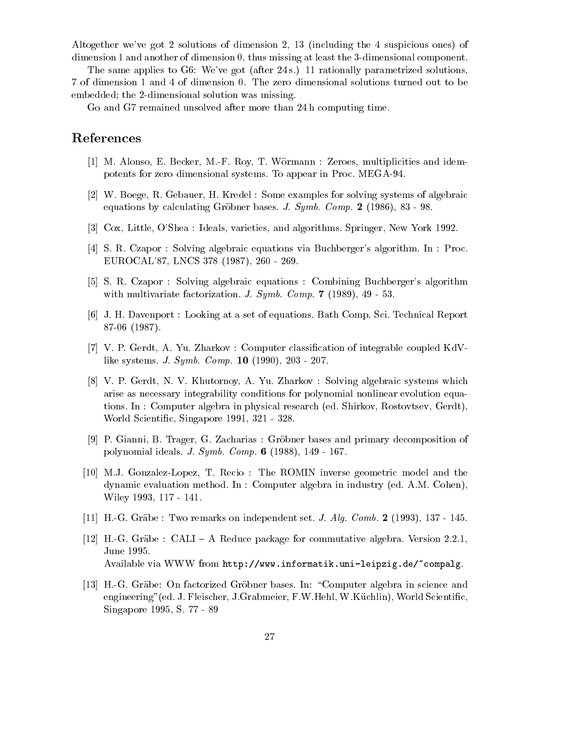Altogether we've got 2 solutions of dimension 2, 13 (including the 4 suspicious ones) of dimension 1 and another of dimension 0, thus missing at least the 3-dimensional component.

The same applies to G6: We've got (after 24 s.) 11 rationally parametrized solutions, 7 of dimension 1 and 4 of dimension 0. The zero dimensional solutions turned out to be embedded; the 2-dimensional solution was missing.

Go and G7 remained unsolved after more than 24 h computing time.

#### References

- [1] M. Alonso, E. Becker, M.-F. Roy, T. Wormann : Zeroes, multiplicities and idempotents for zero dimensional systems. To appear in Proc. MEGA-94.
- [2] W. Boege, R. Gebauer, H. Kredel : Some examples for solving systems of algebraic equations by calculating Gröbner bases. J.  $Symb$ .  $Comp. 2 (1986)$ , 83 - 98.
- [3] Cox, Little, O'Shea : Ideals, varieties, and algorithms. Springer, New York 1992.
- [4] S. R. Czapor : Solving algebraic equations via Buchberger's algorithm. In : Proc. EUROCAL'87, LNCS 378 (1987), 260 - 269.
- [5] S. R. Czapor : Solving algebraic equations : Combining Buchberger's algorithm with multivariate factorization. J. Symb. Comp. 7 (1989), 49 - 53.
- [6] J. H. Davenport : Looking at a set of equations. Bath Comp. Sci. Technical Report 87-06 (1987).
- [7] V. P. Gerdt, A. Yu. Zharkov : Computer classication of integrable coupled KdVlike systems. J. Symb. Comp. 10 (1990), 203 - 207.
- [8] V. P. Gerdt, N. V. Khutornoy, A. Yu. Zharkov : Solving algebraic systems which arise as necessary integrability conditions for polynomial nonlinear evolution equations. In : Computer algebra in physical research (ed. Shirkov, Rostovtsev, Gerdt), World Scientic, Singapore 1991, 321 - 328.
- [9] P. Gianni, B. Trager, G. Zacharias : Grobner bases and primary decomposition of polynomial ideals. J. Symb. Comp. 6 (1988), 149 - 167.
- [10] M.J. Gonzalez-Lopez, T. Recio : The ROMIN inverse geometric model and the dynamic evaluation method. In : Computer algebra in industry (ed. A.M. Cohen), Wiley 1993, 117 - 141.
- [11] H.-G. Grabe : Two remarks on independent set. J. Alg. Comb. 2 (1993), 137 145.
- [12] H.-G. Gräbe : CALI A Reduce package for commutative algebra. Version 2.2.1, June 1995. Available via WWW from http://www.informatik.uni-leipzig.de/~compalg.
- [13] H.-G. Gräbe: On factorized Gröbner bases. In: "Computer algebra in science and engineering"(ed. J. Fleischer, J.Grabmeier, F.W.Hehl, W.Kuchlin), World Scientic, Singapore 1995, S. 77 - 89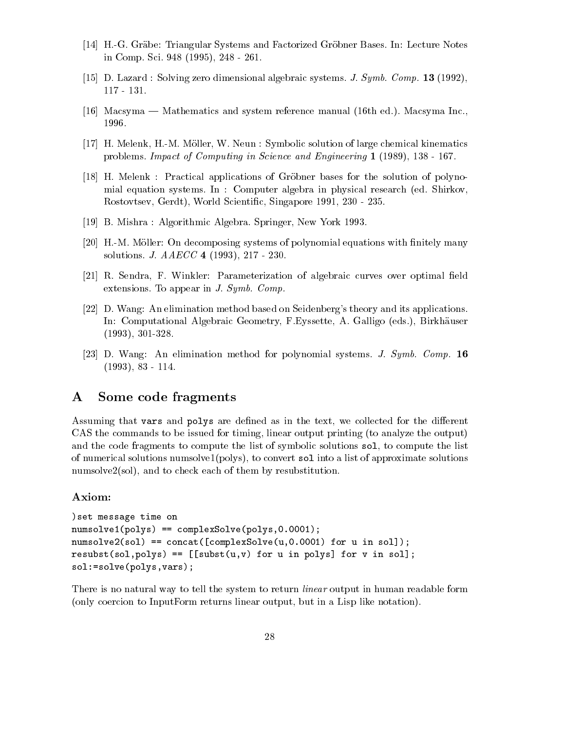- [14] H.-G. Gräbe: Triangular Systems and Factorized Gröbner Bases. In: Lecture Notes in Comp. Sci. 948 (1995), 248 - 261.
- [15] D. Lazard : Solving zero dimensional algebraic systems. J. Symb. Comp. 13 (1992), 117 - 131.
- [16] Macsyma Mathematics and system reference manual (16th ed.). Macsyma Inc.,
- [17] H. Melenk, H.-M. Moller, W. Neun : Symbolic solution of large chemical kinematics problems. Impact of Computing in Science and Engineering 1 (1989), 138 - 167.
- [18] H. Melenk : Practical applications of Grobner bases for the solution of polynomial equation systems. In : Computer algebra in physical research (ed. Shirkov, Rostovtsev, Gerdt), World Scientic, Singapore 1991, 230 - 235.
- [19] B. Mishra : Algorithmic Algebra. Springer, New York 1993.
- [20] H.-M. Möller: On decomposing systems of polynomial equations with finitely many solutions. J. AAECC 4 (1993), 217 - 230.
- [21] R. Sendra, F. Winkler: Parameterization of algebraic curves over optimal field extensions. To appear in J. Symb. Comp.
- [22] D. Wang: An elimination method based on Seidenberg's theory and its applications. In: Computational Algebraic Geometry, F.Eyssette, A. Galligo (eds.), Birkhauser (1993), 301-328.
- [23] D. Wang: An elimination method for polynomial systems. J. Symb. Comp. 16 (1993), 83 - 114.

#### $\bf{A}$ Some code fragments

Assuming that vars and polys are defined as in the text, we collected for the different CAS the commands to be issued for timing, linear output printing (to analyze the output) and the code fragments to compute the list of symbolic solutions sol, to compute the list of numerical solutions numsolve1(polys), to convert sol into a list of approximate solutions numsolve2(sol), and to check each of them by resubstitution.

#### Axiom:

```
)set message time on
numsolve1(polys) == complexSolve(polys,0.0001);
numsolve2(sol) == concat([complexSolve(u,0.0001) for u in sol]);result(sol, polys) == [[subset(u,v) for u in polys] for v in sol];sol:=solve(polys,vars);
```
There is no natural way to tell the system to return *linear* output in human readable form (only coercion to InputForm returns linear output, but in a Lisp like notation).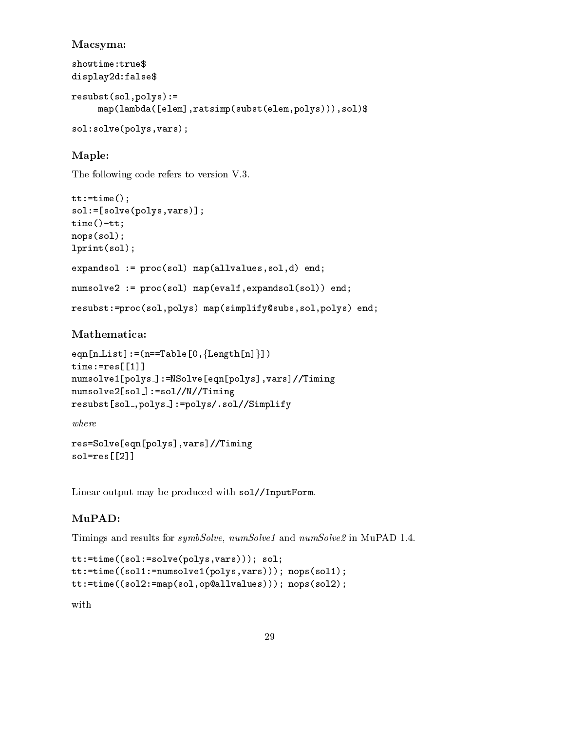#### Macsyma:

```
showtime:true$
showtime:true$
display2d:false$
resubst(sol,polys):=
    map(lambda([elem],ratsimp(subst(elem,polys))),sol)$
sol:solve(polys,vars);
```
## Maple:

The following code refers to version V.3.

```
tt:=time();
sol:=[solve(polys,vars)];
time()-tt;
nops(sol);
lprint(sol);
expandsol := proc(sol) map(allvalues,sol,d) end;
numsolve2 := proc(sol) map(evalf,expandsol(sol)) end;
resubst:=proc(sol,polys) map(simplify@subs,sol,polys) end;
```
### Mathematica:

```
eqn[n_List]:=(n==Table[0,{length[n]}])
time:=res[[1]]numsolve1[polys ]:=NSolve[eqn[polys],vars]//Timing
numsolve2[sol_]:=sol//N//Timing
resubst[sol ,polys ]:=polys/.sol//Simplify
```
where

res=Solve[eqn[polys],vars]//Timing sol=res[[2]]

Linear output may be produced with sol//InputForm.

## MuPAD:

Timings and results for symbSolve, numSolve1 and numSolve2 in MuPAD 1.4.

```
tt:=time((sol:=solve(polys,vars))); sol;
tt:=time((sol1:=numsolve1(polys,vars))); nops(sol1);
tt:=time((sol2:=map(sol,op@allvalues))); nops(sol2);
```